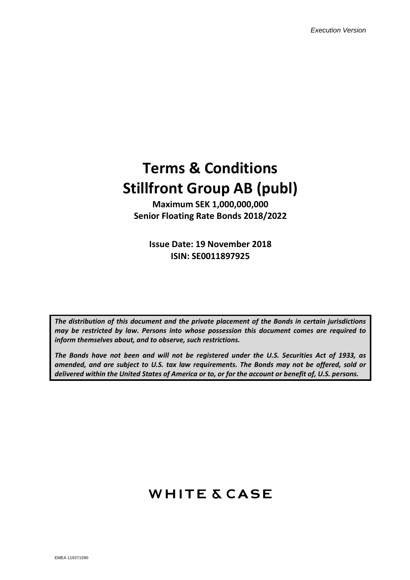# **Terms & Conditions Stillfront Group AB (publ)**

**Maximum SEK 1,000,000,000 Senior Floating Rate Bonds 2018/2022**

**Issue Date: 19 November 2018 ISIN: SE0011897925**

*The distribution of this document and the private placement of the Bonds in certain jurisdictions may be restricted by law. Persons into whose possession this document comes are required to inform themselves about, and to observe, such restrictions.*

*The Bonds have not been and will not be registered under the U.S. Securities Act of 1933, as amended, and are subject to U.S. tax law requirements. The Bonds may not be offered, sold or delivered within the United States of America or to, or for the account or benefit of, U.S. persons.*

## **WHITE & CASE**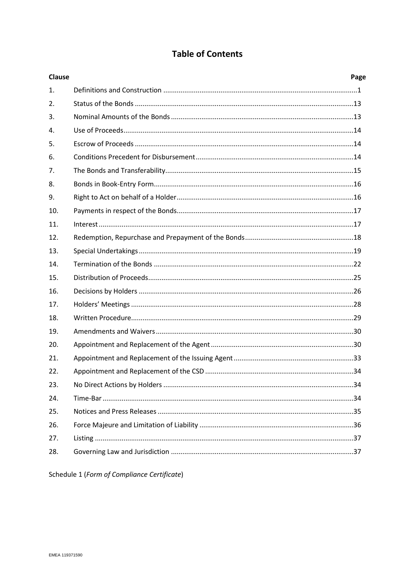## **Table of Contents**

| <b>Clause</b>  | Page |
|----------------|------|
| $\mathbf{1}$ . |      |
| 2.             |      |
| 3.             |      |
| 4.             |      |
| 5.             |      |
| 6.             |      |
| 7.             |      |
| 8.             |      |
| 9.             |      |
| 10.            |      |
| 11.            |      |
| 12.            |      |
| 13.            |      |
| 14.            |      |
| 15.            |      |
| 16.            |      |
| 17.            |      |
| 18.            |      |
| 19.            |      |
| 20.            |      |
| 21.            |      |
| 22.            |      |
| 23.            |      |
| 24.            |      |
| 25.            |      |
| 26.            |      |
| 27.            |      |
| 28.            |      |
|                |      |

Schedule 1 (Form of Compliance Certificate)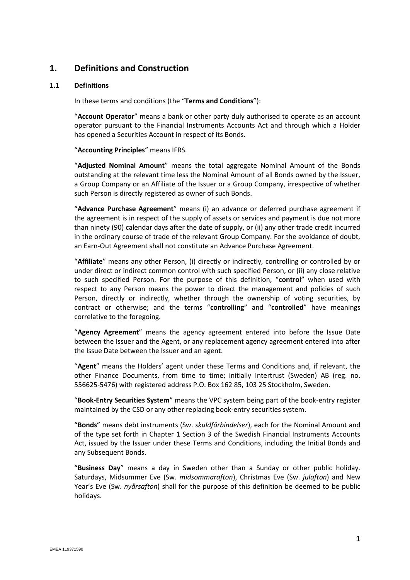## **1. Definitions and Construction**

#### **1.1 Definitions**

In these terms and conditions (the "**Terms and Conditions**"):

"**Account Operator**" means a bank or other party duly authorised to operate as an account operator pursuant to the Financial Instruments Accounts Act and through which a Holder has opened a Securities Account in respect of its Bonds.

"**Accounting Principles**" means IFRS.

"**Adjusted Nominal Amount**" means the total aggregate Nominal Amount of the Bonds outstanding at the relevant time less the Nominal Amount of all Bonds owned by the Issuer, a Group Company or an Affiliate of the Issuer or a Group Company, irrespective of whether such Person is directly registered as owner of such Bonds.

"**Advance Purchase Agreement**" means (i) an advance or deferred purchase agreement if the agreement is in respect of the supply of assets or services and payment is due not more than ninety (90) calendar days after the date of supply, or (ii) any other trade credit incurred in the ordinary course of trade of the relevant Group Company. For the avoidance of doubt, an Earn-Out Agreement shall not constitute an Advance Purchase Agreement.

"**Affiliate**" means any other Person, (i) directly or indirectly, controlling or controlled by or under direct or indirect common control with such specified Person, or (ii) any close relative to such specified Person. For the purpose of this definition, "**control**" when used with respect to any Person means the power to direct the management and policies of such Person, directly or indirectly, whether through the ownership of voting securities, by contract or otherwise; and the terms "**controlling**" and "**controlled**" have meanings correlative to the foregoing.

"**Agency Agreement**" means the agency agreement entered into before the Issue Date between the Issuer and the Agent, or any replacement agency agreement entered into after the Issue Date between the Issuer and an agent.

"**Agent**" means the Holders' agent under these Terms and Conditions and, if relevant, the other Finance Documents, from time to time; initially Intertrust (Sweden) AB (reg. no. 556625-5476) with registered address P.O. Box 162 85, 103 25 Stockholm, Sweden.

"**Book-Entry Securities System**" means the VPC system being part of the book-entry register maintained by the CSD or any other replacing book-entry securities system.

"**Bonds**" means debt instruments (Sw. *skuldförbindelser*), each for the Nominal Amount and of the type set forth in Chapter 1 Section 3 of the Swedish Financial Instruments Accounts Act, issued by the Issuer under these Terms and Conditions, including the Initial Bonds and any Subsequent Bonds.

"**Business Day**" means a day in Sweden other than a Sunday or other public holiday. Saturdays, Midsummer Eve (Sw. *midsommarafton*), Christmas Eve (Sw. *julafton*) and New Year's Eve (Sw. *nyårsafton*) shall for the purpose of this definition be deemed to be public holidays.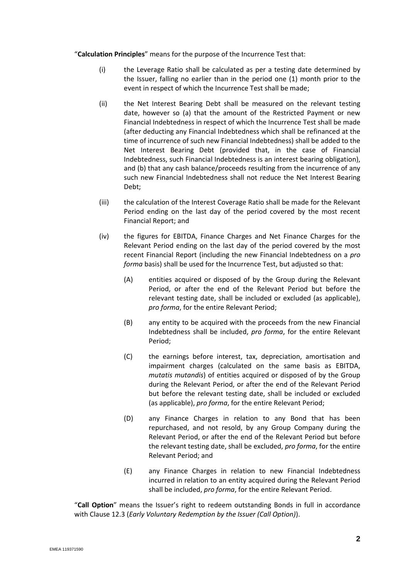"**Calculation Principles**" means for the purpose of the Incurrence Test that:

- (i) the Leverage Ratio shall be calculated as per a testing date determined by the Issuer, falling no earlier than in the period one (1) month prior to the event in respect of which the Incurrence Test shall be made;
- (ii) the Net Interest Bearing Debt shall be measured on the relevant testing date, however so (a) that the amount of the Restricted Payment or new Financial Indebtedness in respect of which the Incurrence Test shall be made (after deducting any Financial Indebtedness which shall be refinanced at the time of incurrence of such new Financial Indebtedness) shall be added to the Net Interest Bearing Debt (provided that, in the case of Financial Indebtedness, such Financial Indebtedness is an interest bearing obligation), and (b) that any cash balance/proceeds resulting from the incurrence of any such new Financial Indebtedness shall not reduce the Net Interest Bearing Debt;
- (iii) the calculation of the Interest Coverage Ratio shall be made for the Relevant Period ending on the last day of the period covered by the most recent Financial Report; and
- (iv) the figures for EBITDA, Finance Charges and Net Finance Charges for the Relevant Period ending on the last day of the period covered by the most recent Financial Report (including the new Financial Indebtedness on a *pro forma* basis) shall be used for the Incurrence Test, but adjusted so that:
	- (A) entities acquired or disposed of by the Group during the Relevant Period, or after the end of the Relevant Period but before the relevant testing date, shall be included or excluded (as applicable), *pro forma*, for the entire Relevant Period;
	- (B) any entity to be acquired with the proceeds from the new Financial Indebtedness shall be included, *pro forma*, for the entire Relevant Period;
	- (C) the earnings before interest, tax, depreciation, amortisation and impairment charges (calculated on the same basis as EBITDA, *mutatis mutandis*) of entities acquired or disposed of by the Group during the Relevant Period, or after the end of the Relevant Period but before the relevant testing date, shall be included or excluded (as applicable), *pro forma*, for the entire Relevant Period;
	- (D) any Finance Charges in relation to any Bond that has been repurchased, and not resold, by any Group Company during the Relevant Period, or after the end of the Relevant Period but before the relevant testing date, shall be excluded, *pro forma*, for the entire Relevant Period; and
	- (E) any Finance Charges in relation to new Financial Indebtedness incurred in relation to an entity acquired during the Relevant Period shall be included, *pro forma*, for the entire Relevant Period.

"**Call Option**" means the Issuer's right to redeem outstanding Bonds in full in accordance with Clause [12.3](#page-19-0) (*Early Voluntary Redemption by the Issuer (Call Option)*).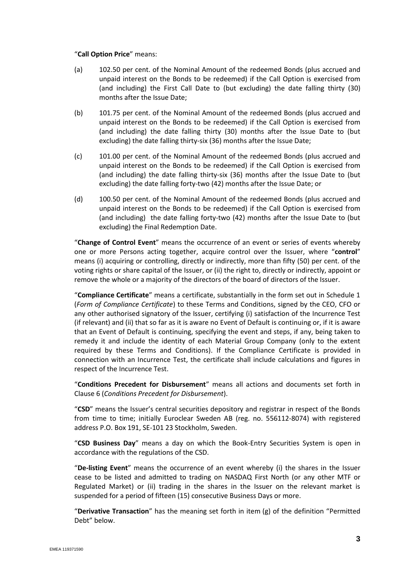#### "**Call Option Price**" means:

- (a) 102.50 per cent. of the Nominal Amount of the redeemed Bonds (plus accrued and unpaid interest on the Bonds to be redeemed) if the Call Option is exercised from (and including) the First Call Date to (but excluding) the date falling thirty (30) months after the Issue Date;
- (b) 101.75 per cent. of the Nominal Amount of the redeemed Bonds (plus accrued and unpaid interest on the Bonds to be redeemed) if the Call Option is exercised from (and including) the date falling thirty (30) months after the Issue Date to (but excluding) the date falling thirty-six (36) months after the Issue Date;
- (c) 101.00 per cent. of the Nominal Amount of the redeemed Bonds (plus accrued and unpaid interest on the Bonds to be redeemed) if the Call Option is exercised from (and including) the date falling thirty-six (36) months after the Issue Date to (but excluding) the date falling forty-two (42) months after the Issue Date; or
- (d) 100.50 per cent. of the Nominal Amount of the redeemed Bonds (plus accrued and unpaid interest on the Bonds to be redeemed) if the Call Option is exercised from (and including) the date falling forty-two (42) months after the Issue Date to (but excluding) the Final Redemption Date.

"**Change of Control Event**" means the occurrence of an event or series of events whereby one or more Persons acting together, acquire control over the Issuer, where "**control**" means (i) acquiring or controlling, directly or indirectly, more than fifty (50) per cent. of the voting rights or share capital of the Issuer, or (ii) the right to, directly or indirectly, appoint or remove the whole or a majority of the directors of the board of directors of the Issuer.

"**Compliance Certificate**" means a certificate, substantially in the form set out in Schedule 1 (*Form of Compliance Certificate*) to these Terms and Conditions, signed by the CEO, CFO or any other authorised signatory of the Issuer, certifying (i) satisfaction of the Incurrence Test (if relevant) and (ii) that so far as it is aware no Event of Default is continuing or, if it is aware that an Event of Default is continuing, specifying the event and steps, if any, being taken to remedy it and include the identity of each Material Group Company (only to the extent required by these Terms and Conditions). If the Compliance Certificate is provided in connection with an Incurrence Test, the certificate shall include calculations and figures in respect of the Incurrence Test.

"**Conditions Precedent for Disbursement**" means all actions and documents set forth in Clause [6](#page-15-0) (*Conditions Precedent for Disbursement*).

"**CSD**" means the Issuer's central securities depository and registrar in respect of the Bonds from time to time; initially Euroclear Sweden AB (reg. no. 556112-8074) with registered address P.O. Box 191, SE-101 23 Stockholm, Sweden.

"**CSD Business Day**" means a day on which the Book-Entry Securities System is open in accordance with the regulations of the CSD.

"**De-listing Event**" means the occurrence of an event whereby (i) the shares in the Issuer cease to be listed and admitted to trading on NASDAQ First North (or any other MTF or Regulated Market) or (ii) trading in the shares in the Issuer on the relevant market is suspended for a period of fifteen (15) consecutive Business Days or more.

"**Derivative Transaction**" has the meaning set forth in item (g) of the definition "Permitted Debt" below.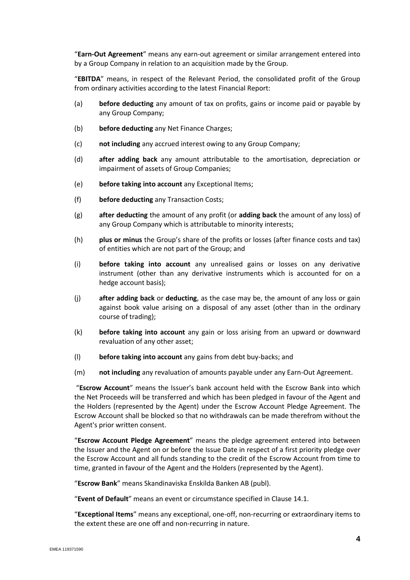"**Earn-Out Agreement**" means any earn-out agreement or similar arrangement entered into by a Group Company in relation to an acquisition made by the Group.

"**EBITDA**" means, in respect of the Relevant Period, the consolidated profit of the Group from ordinary activities according to the latest Financial Report:

- (a) **before deducting** any amount of tax on profits, gains or income paid or payable by any Group Company;
- (b) **before deducting** any Net Finance Charges;
- (c) **not including** any accrued interest owing to any Group Company;
- (d) **after adding back** any amount attributable to the amortisation, depreciation or impairment of assets of Group Companies;
- (e) **before taking into account** any Exceptional Items;
- (f) **before deducting** any Transaction Costs;
- (g) **after deducting** the amount of any profit (or **adding back** the amount of any loss) of any Group Company which is attributable to minority interests;
- (h) **plus or minus** the Group's share of the profits or losses (after finance costs and tax) of entities which are not part of the Group; and
- (i) **before taking into account** any unrealised gains or losses on any derivative instrument (other than any derivative instruments which is accounted for on a hedge account basis);
- (j) **after adding back** or **deducting**, as the case may be, the amount of any loss or gain against book value arising on a disposal of any asset (other than in the ordinary course of trading);
- (k) **before taking into account** any gain or loss arising from an upward or downward revaluation of any other asset;
- (l) **before taking into account** any gains from debt buy-backs; and
- (m) **not including** any revaluation of amounts payable under any Earn-Out Agreement.

"**Escrow Account**" means the Issuer's bank account held with the Escrow Bank into which the Net Proceeds will be transferred and which has been pledged in favour of the Agent and the Holders (represented by the Agent) under the Escrow Account Pledge Agreement. The Escrow Account shall be blocked so that no withdrawals can be made therefrom without the Agent's prior written consent.

"**Escrow Account Pledge Agreement**" means the pledge agreement entered into between the Issuer and the Agent on or before the Issue Date in respect of a first priority pledge over the Escrow Account and all funds standing to the credit of the Escrow Account from time to time, granted in favour of the Agent and the Holders (represented by the Agent).

"**Escrow Bank**" means Skandinaviska Enskilda Banken AB (publ).

"**Event of Default**" means an event or circumstance specified in Clause [14.1.](#page-23-0)

"**Exceptional Items**" means any exceptional, one-off, non-recurring or extraordinary items to the extent these are one off and non-recurring in nature.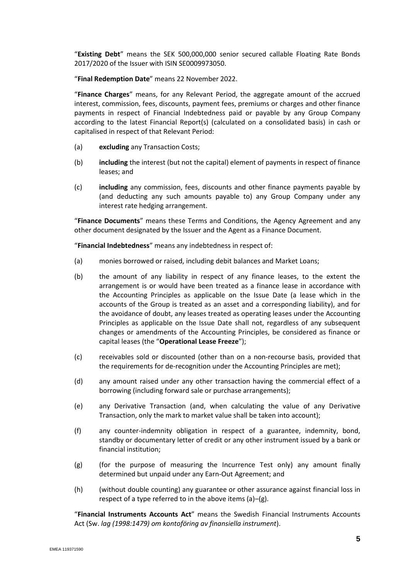"**Existing Debt**" means the SEK 500,000,000 senior secured callable Floating Rate Bonds 2017/2020 of the Issuer with ISIN SE0009973050.

"**Final Redemption Date**" means 22 November 2022.

"**Finance Charges**" means, for any Relevant Period, the aggregate amount of the accrued interest, commission, fees, discounts, payment fees, premiums or charges and other finance payments in respect of Financial Indebtedness paid or payable by any Group Company according to the latest Financial Report(s) (calculated on a consolidated basis) in cash or capitalised in respect of that Relevant Period:

- (a) **excluding** any Transaction Costs;
- (b) **including** the interest (but not the capital) element of payments in respect of finance leases; and
- (c) **including** any commission, fees, discounts and other finance payments payable by (and deducting any such amounts payable to) any Group Company under any interest rate hedging arrangement.

"**Finance Documents**" means these Terms and Conditions, the Agency Agreement and any other document designated by the Issuer and the Agent as a Finance Document.

"**Financial Indebtedness**" means any indebtedness in respect of:

- (a) monies borrowed or raised, including debit balances and Market Loans;
- <span id="page-6-0"></span>(b) the amount of any liability in respect of any finance leases, to the extent the arrangement is or would have been treated as a finance lease in accordance with the Accounting Principles as applicable on the Issue Date (a lease which in the accounts of the Group is treated as an asset and a corresponding liability), and for the avoidance of doubt, any leases treated as operating leases under the Accounting Principles as applicable on the Issue Date shall not, regardless of any subsequent changes or amendments of the Accounting Principles, be considered as finance or capital leases (the "**Operational Lease Freeze**");
- (c) receivables sold or discounted (other than on a non-recourse basis, provided that the requirements for de-recognition under the Accounting Principles are met);
- (d) any amount raised under any other transaction having the commercial effect of a borrowing (including forward sale or purchase arrangements);
- (e) any Derivative Transaction (and, when calculating the value of any Derivative Transaction, only the mark to market value shall be taken into account);
- (f) any counter-indemnity obligation in respect of a guarantee, indemnity, bond, standby or documentary letter of credit or any other instrument issued by a bank or financial institution;
- (g) (for the purpose of measuring the Incurrence Test only) any amount finally determined but unpaid under any Earn-Out Agreement; and
- (h) (without double counting) any guarantee or other assurance against financial loss in respect of a type referred to in the above items (a)–(g).

"**Financial Instruments Accounts Act**" means the Swedish Financial Instruments Accounts Act (Sw. *lag (1998:1479) om kontoföring av finansiella instrument*).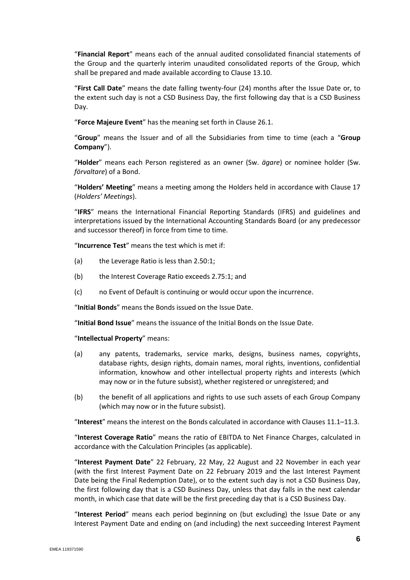"**Financial Report**" means each of the annual audited consolidated financial statements of the Group and the quarterly interim unaudited consolidated reports of the Group, which shall be prepared and made available according to Clause 13.10.

"**First Call Date**" means the date falling twenty-four (24) months after the Issue Date or, to the extent such day is not a CSD Business Day, the first following day that is a CSD Business Day.

"**Force Majeure Event**" has the meaning set forth in Clause [26.1.](#page-37-0)

"**Group**" means the Issuer and of all the Subsidiaries from time to time (each a "**Group Company**").

"**Holder**" means each Person registered as an owner (Sw. *ägare*) or nominee holder (Sw. *förvaltare*) of a Bond.

"**Holders' Meeting**" means a meeting among the Holders held in accordance with Clause [17](#page-29-0) (*Holders' Meetings*).

"**IFRS**" means the International Financial Reporting Standards (IFRS) and guidelines and interpretations issued by the International Accounting Standards Board (or any predecessor and successor thereof) in force from time to time.

"**Incurrence Test**" means the test which is met if:

- (a) the Leverage Ratio is less than 2.50:1;
- (b) the Interest Coverage Ratio exceeds 2.75:1; and
- (c) no Event of Default is continuing or would occur upon the incurrence.

"**Initial Bonds**" means the Bonds issued on the Issue Date.

"**Initial Bond Issue**" means the issuance of the Initial Bonds on the Issue Date.

"**Intellectual Property**" means:

- (a) any patents, trademarks, service marks, designs, business names, copyrights, database rights, design rights, domain names, moral rights, inventions, confidential information, knowhow and other intellectual property rights and interests (which may now or in the future subsist), whether registered or unregistered; and
- (b) the benefit of all applications and rights to use such assets of each Group Company (which may now or in the future subsist).

"**Interest**" means the interest on the Bonds calculated in accordance with Clauses [11.1](#page-18-0)–[11.3.](#page-19-1)

"**Interest Coverage Ratio**" means the ratio of EBITDA to Net Finance Charges, calculated in accordance with the Calculation Principles (as applicable).

"**Interest Payment Date**" 22 February, 22 May, 22 August and 22 November in each year (with the first Interest Payment Date on 22 February 2019 and the last Interest Payment Date being the Final Redemption Date), or to the extent such day is not a CSD Business Day, the first following day that is a CSD Business Day, unless that day falls in the next calendar month, in which case that date will be the first preceding day that is a CSD Business Day.

"**Interest Period**" means each period beginning on (but excluding) the Issue Date or any Interest Payment Date and ending on (and including) the next succeeding Interest Payment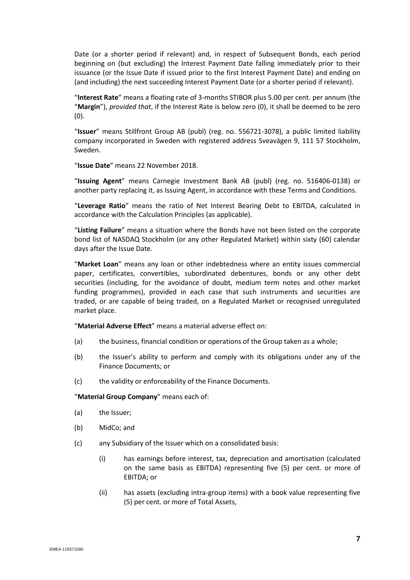Date (or a shorter period if relevant) and, in respect of Subsequent Bonds, each period beginning on (but excluding) the Interest Payment Date falling immediately prior to their issuance (or the Issue Date if issued prior to the first Interest Payment Date) and ending on (and including) the next succeeding Interest Payment Date (or a shorter period if relevant).

"**Interest Rate**" means a floating rate of 3-months STIBOR plus 5.00 per cent. per annum (the "**Margin**"), *provided that*, if the Interest Rate is below zero (0), it shall be deemed to be zero (0).

"**Issuer**" means Stillfront Group AB (publ) (reg. no. 556721-3078), a public limited liability company incorporated in Sweden with registered address Sveavägen 9, 111 57 Stockholm, Sweden.

"**Issue Date**" means 22 November 2018.

"**Issuing Agent**" means Carnegie Investment Bank AB (publ) (reg. no. 516406-0138) or another party replacing it, as Issuing Agent, in accordance with these Terms and Conditions.

"**Leverage Ratio**" means the ratio of Net Interest Bearing Debt to EBITDA, calculated in accordance with the Calculation Principles (as applicable).

"**Listing Failure**" means a situation where the Bonds have not been listed on the corporate bond list of NASDAQ Stockholm (or any other Regulated Market) within sixty (60) calendar days after the Issue Date.

"**Market Loan**" means any loan or other indebtedness where an entity issues commercial paper, certificates, convertibles, subordinated debentures, bonds or any other debt securities (including, for the avoidance of doubt, medium term notes and other market funding programmes), provided in each case that such instruments and securities are traded, or are capable of being traded, on a Regulated Market or recognised unregulated market place.

"**Material Adverse Effect**" means a material adverse effect on:

- (a) the business, financial condition or operations of the Group taken as a whole;
- (b) the Issuer's ability to perform and comply with its obligations under any of the Finance Documents; or
- (c) the validity or enforceability of the Finance Documents.

"**Material Group Company**" means each of:

- (a) the Issuer;
- (b) MidCo; and
- (c) any Subsidiary of the Issuer which on a consolidated basis:
	- (i) has earnings before interest, tax, depreciation and amortisation (calculated on the same basis as EBITDA) representing five (5) per cent. or more of EBITDA; or
	- (ii) has assets (excluding intra-group items) with a book value representing five (5) per cent. or more of Total Assets,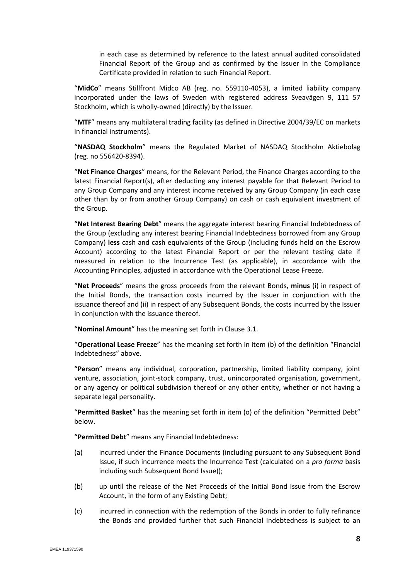in each case as determined by reference to the latest annual audited consolidated Financial Report of the Group and as confirmed by the Issuer in the Compliance Certificate provided in relation to such Financial Report.

"**MidCo**" means Stillfront Midco AB (reg. no. 559110-4053), a limited liability company incorporated under the laws of Sweden with registered address Sveavägen 9, 111 57 Stockholm, which is wholly-owned (directly) by the Issuer.

"**MTF**" means any multilateral trading facility (as defined in Directive 2004/39/EC on markets in financial instruments).

"**NASDAQ Stockholm**" means the Regulated Market of NASDAQ Stockholm Aktiebolag (reg. no 556420-8394).

"**Net Finance Charges**" means, for the Relevant Period, the Finance Charges according to the latest Financial Report(s), after deducting any interest payable for that Relevant Period to any Group Company and any interest income received by any Group Company (in each case other than by or from another Group Company) on cash or cash equivalent investment of the Group.

"**Net Interest Bearing Debt**" means the aggregate interest bearing Financial Indebtedness of the Group (excluding any interest bearing Financial Indebtedness borrowed from any Group Company) **less** cash and cash equivalents of the Group (including funds held on the Escrow Account) according to the latest Financial Report or per the relevant testing date if measured in relation to the Incurrence Test (as applicable), in accordance with the Accounting Principles, adjusted in accordance with the Operational Lease Freeze.

"**Net Proceeds**" means the gross proceeds from the relevant Bonds, **minus** (i) in respect of the Initial Bonds, the transaction costs incurred by the Issuer in conjunction with the issuance thereof and (ii) in respect of any Subsequent Bonds, the costs incurred by the Issuer in conjunction with the issuance thereof.

"**Nominal Amount**" has the meaning set forth in Clause [3.1.](#page-14-0)

"**Operational Lease Freeze**" has the meaning set forth in item [\(b\)](#page-6-0) of the definition "Financial Indebtedness" above.

"**Person**" means any individual, corporation, partnership, limited liability company, joint venture, association, joint-stock company, trust, unincorporated organisation, government, or any agency or political subdivision thereof or any other entity, whether or not having a separate legal personality.

"**Permitted Basket**" has the meaning set forth in item [\(o\)](#page-10-0) of the definition "Permitted Debt" below.

"**Permitted Debt**" means any Financial Indebtedness:

- <span id="page-9-0"></span>(a) incurred under the Finance Documents (including pursuant to any Subsequent Bond Issue, if such incurrence meets the Incurrence Test (calculated on a *pro forma* basis including such Subsequent Bond Issue));
- (b) up until the release of the Net Proceeds of the Initial Bond Issue from the Escrow Account, in the form of any Existing Debt;
- (c) incurred in connection with the redemption of the Bonds in order to fully refinance the Bonds and provided further that such Financial Indebtedness is subject to an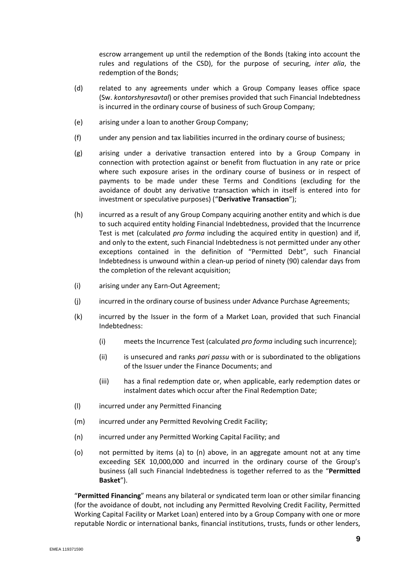escrow arrangement up until the redemption of the Bonds (taking into account the rules and regulations of the CSD), for the purpose of securing, *inter alia*, the redemption of the Bonds;

- (d) related to any agreements under which a Group Company leases office space (Sw. *kontorshyresavtal*) or other premises provided that such Financial Indebtedness is incurred in the ordinary course of business of such Group Company;
- (e) arising under a loan to another Group Company;
- (f) under any pension and tax liabilities incurred in the ordinary course of business;
- (g) arising under a derivative transaction entered into by a Group Company in connection with protection against or benefit from fluctuation in any rate or price where such exposure arises in the ordinary course of business or in respect of payments to be made under these Terms and Conditions (excluding for the avoidance of doubt any derivative transaction which in itself is entered into for investment or speculative purposes) ("**Derivative Transaction**");
- <span id="page-10-1"></span>(h) incurred as a result of any Group Company acquiring another entity and which is due to such acquired entity holding Financial Indebtedness, provided that the Incurrence Test is met (calculated *pro forma* including the acquired entity in question) and if, and only to the extent, such Financial Indebtedness is not permitted under any other exceptions contained in the definition of "Permitted Debt", such Financial Indebtedness is unwound within a clean-up period of ninety (90) calendar days from the completion of the relevant acquisition;
- (i) arising under any Earn-Out Agreement;
- (j) incurred in the ordinary course of business under Advance Purchase Agreements;
- (k) incurred by the Issuer in the form of a Market Loan, provided that such Financial Indebtedness:
	- (i) meets the Incurrence Test (calculated *pro forma* including such incurrence);
	- (ii) is unsecured and ranks *pari passu* with or is subordinated to the obligations of the Issuer under the Finance Documents; and
	- (iii) has a final redemption date or, when applicable, early redemption dates or instalment dates which occur after the Final Redemption Date;
- (l) incurred under any Permitted Financing
- (m) incurred under any Permitted Revolving Credit Facility;
- (n) incurred under any Permitted Working Capital Facility; and
- <span id="page-10-0"></span>(o) not permitted by items [\(a\)](#page-9-0) to (n) above, in an aggregate amount not at any time exceeding SEK 10,000,000 and incurred in the ordinary course of the Group's business (all such Financial Indebtedness is together referred to as the "**Permitted Basket**").

"**Permitted Financing**" means any bilateral or syndicated term loan or other similar financing (for the avoidance of doubt, not including any Permitted Revolving Credit Facility, Permitted Working Capital Facility or Market Loan) entered into by a Group Company with one or more reputable Nordic or international banks, financial institutions, trusts, funds or other lenders,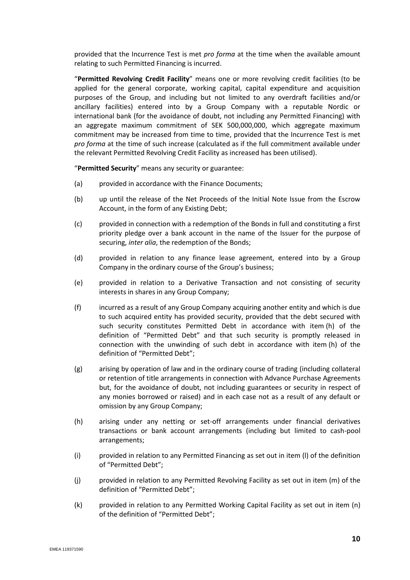provided that the Incurrence Test is met *pro forma* at the time when the available amount relating to such Permitted Financing is incurred.

"**Permitted Revolving Credit Facility**" means one or more revolving credit facilities (to be applied for the general corporate, working capital, capital expenditure and acquisition purposes of the Group, and including but not limited to any overdraft facilities and/or ancillary facilities) entered into by a Group Company with a reputable Nordic or international bank (for the avoidance of doubt, not including any Permitted Financing) with an aggregate maximum commitment of SEK 500,000,000, which aggregate maximum commitment may be increased from time to time, provided that the Incurrence Test is met *pro forma* at the time of such increase (calculated as if the full commitment available under the relevant Permitted Revolving Credit Facility as increased has been utilised).

"**Permitted Security**" means any security or guarantee:

- (a) provided in accordance with the Finance Documents;
- (b) up until the release of the Net Proceeds of the Initial Note Issue from the Escrow Account, in the form of any Existing Debt;
- (c) provided in connection with a redemption of the Bonds in full and constituting a first priority pledge over a bank account in the name of the Issuer for the purpose of securing, *inter alia*, the redemption of the Bonds;
- (d) provided in relation to any finance lease agreement, entered into by a Group Company in the ordinary course of the Group's business;
- (e) provided in relation to a Derivative Transaction and not consisting of security interests in shares in any Group Company;
- (f) incurred as a result of any Group Company acquiring another entity and which is due to such acquired entity has provided security, provided that the debt secured with such security constitutes Permitted Debt in accordance with item [\(h\)](#page-10-1) of the definition of "Permitted Debt" and that such security is promptly released in connection with the unwinding of such debt in accordance with item [\(h\)](#page-10-1) of the definition of "Permitted Debt";
- (g) arising by operation of law and in the ordinary course of trading (including collateral or retention of title arrangements in connection with Advance Purchase Agreements but, for the avoidance of doubt, not including guarantees or security in respect of any monies borrowed or raised) and in each case not as a result of any default or omission by any Group Company;
- (h) arising under any netting or set-off arrangements under financial derivatives transactions or bank account arrangements (including but limited to cash-pool arrangements;
- (i) provided in relation to any Permitted Financing as set out in item (l) of the definition of "Permitted Debt";
- (j) provided in relation to any Permitted Revolving Facility as set out in item (m) of the definition of "Permitted Debt";
- (k) provided in relation to any Permitted Working Capital Facility as set out in item (n) of the definition of "Permitted Debt";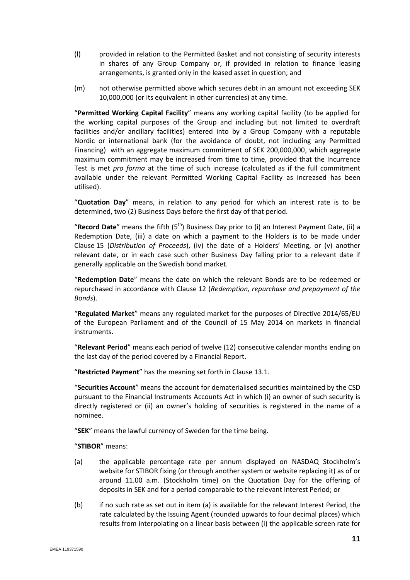- (l) provided in relation to the Permitted Basket and not consisting of security interests in shares of any Group Company or, if provided in relation to finance leasing arrangements, is granted only in the leased asset in question; and
- (m) not otherwise permitted above which secures debt in an amount not exceeding SEK 10,000,000 (or its equivalent in other currencies) at any time.

"**Permitted Working Capital Facility**" means any working capital facility (to be applied for the working capital purposes of the Group and including but not limited to overdraft facilities and/or ancillary facilities) entered into by a Group Company with a reputable Nordic or international bank (for the avoidance of doubt, not including any Permitted Financing) with an aggregate maximum commitment of SEK 200,000,000, which aggregate maximum commitment may be increased from time to time, provided that the Incurrence Test is met *pro forma* at the time of such increase (calculated as if the full commitment available under the relevant Permitted Working Capital Facility as increased has been utilised).

"**Quotation Day**" means, in relation to any period for which an interest rate is to be determined, two (2) Business Days before the first day of that period.

"**Record Date**" means the fifth (5th) Business Day prior to (i) an Interest Payment Date, (ii) a Redemption Date, (iii) a date on which a payment to the Holders is to be made under Clause [15](#page-26-0) (*Distribution of Proceeds*), (iv) the date of a Holders' Meeting, or (v) another relevant date, or in each case such other Business Day falling prior to a relevant date if generally applicable on the Swedish bond market.

"**Redemption Date**" means the date on which the relevant Bonds are to be redeemed or repurchased in accordance with Clause [12](#page-19-2) (*Redemption, repurchase and prepayment of the Bonds*).

"**Regulated Market**" means any regulated market for the purposes of Directive 2014/65/EU of the European Parliament and of the Council of 15 May 2014 on markets in financial instruments.

"**Relevant Period**" means each period of twelve (12) consecutive calendar months ending on the last day of the period covered by a Financial Report.

"**Restricted Payment**" has the meaning set forth in Clause [13.1.](#page-20-0)

"**Securities Account**" means the account for dematerialised securities maintained by the CSD pursuant to the Financial Instruments Accounts Act in which (i) an owner of such security is directly registered or (ii) an owner's holding of securities is registered in the name of a nominee.

"**SEK**" means the lawful currency of Sweden for the time being.

"**STIBOR**" means:

- (a) the applicable percentage rate per annum displayed on NASDAQ Stockholm's website for STIBOR fixing (or through another system or website replacing it) as of or around 11.00 a.m. (Stockholm time) on the Quotation Day for the offering of deposits in SEK and for a period comparable to the relevant Interest Period; or
- (b) if no such rate as set out in item (a) is available for the relevant Interest Period, the rate calculated by the Issuing Agent (rounded upwards to four decimal places) which results from interpolating on a linear basis between (i) the applicable screen rate for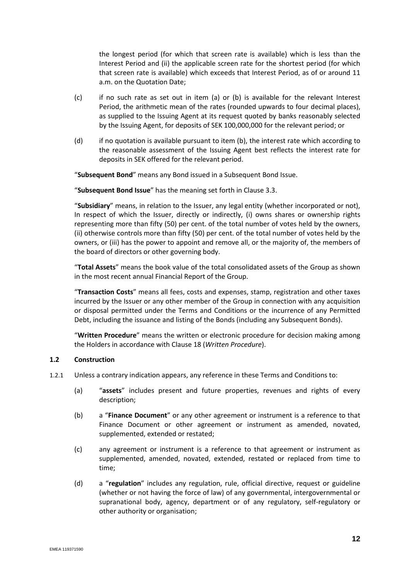the longest period (for which that screen rate is available) which is less than the Interest Period and (ii) the applicable screen rate for the shortest period (for which that screen rate is available) which exceeds that Interest Period, as of or around 11 a.m. on the Quotation Date;

- (c) if no such rate as set out in item (a) or (b) is available for the relevant Interest Period, the arithmetic mean of the rates (rounded upwards to four decimal places), as supplied to the Issuing Agent at its request quoted by banks reasonably selected by the Issuing Agent, for deposits of SEK 100,000,000 for the relevant period; or
- (d) if no quotation is available pursuant to item (b), the interest rate which according to the reasonable assessment of the Issuing Agent best reflects the interest rate for deposits in SEK offered for the relevant period.

"**Subsequent Bond**" means any Bond issued in a Subsequent Bond Issue.

"**Subsequent Bond Issue**" has the meaning set forth in Claus[e 3.3.](#page-14-1)

"**Subsidiary**" means, in relation to the Issuer, any legal entity (whether incorporated or not), In respect of which the Issuer, directly or indirectly, (i) owns shares or ownership rights representing more than fifty (50) per cent. of the total number of votes held by the owners, (ii) otherwise controls more than fifty (50) per cent. of the total number of votes held by the owners, or (iii) has the power to appoint and remove all, or the majority of, the members of the board of directors or other governing body.

"**Total Assets**" means the book value of the total consolidated assets of the Group as shown in the most recent annual Financial Report of the Group.

"**Transaction Costs**" means all fees, costs and expenses, stamp, registration and other taxes incurred by the Issuer or any other member of the Group in connection with any acquisition or disposal permitted under the Terms and Conditions or the incurrence of any Permitted Debt, including the issuance and listing of the Bonds (including any Subsequent Bonds).

"**Written Procedure**" means the written or electronic procedure for decision making among the Holders in accordance with Clause [18](#page-30-0) (*Written Procedure*).

#### **1.2 Construction**

- 1.2.1 Unless a contrary indication appears, any reference in these Terms and Conditions to:
	- (a) "**assets**" includes present and future properties, revenues and rights of every description;
	- (b) a "**Finance Document**" or any other agreement or instrument is a reference to that Finance Document or other agreement or instrument as amended, novated, supplemented, extended or restated;
	- (c) any agreement or instrument is a reference to that agreement or instrument as supplemented, amended, novated, extended, restated or replaced from time to time;
	- (d) a "**regulation**" includes any regulation, rule, official directive, request or guideline (whether or not having the force of law) of any governmental, intergovernmental or supranational body, agency, department or of any regulatory, self-regulatory or other authority or organisation;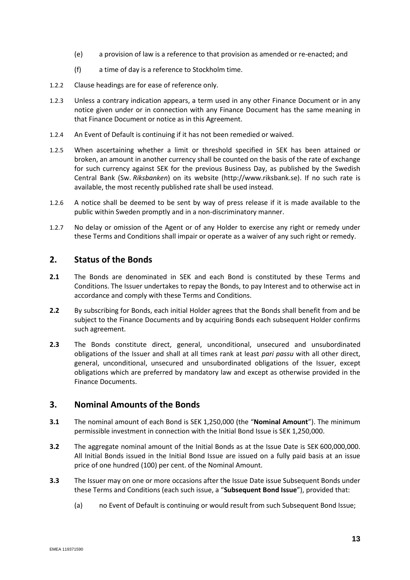- (e) a provision of law is a reference to that provision as amended or re-enacted; and
- (f) a time of day is a reference to Stockholm time.
- 1.2.2 Clause headings are for ease of reference only.
- 1.2.3 Unless a contrary indication appears, a term used in any other Finance Document or in any notice given under or in connection with any Finance Document has the same meaning in that Finance Document or notice as in this Agreement.
- 1.2.4 An Event of Default is continuing if it has not been remedied or waived.
- 1.2.5 When ascertaining whether a limit or threshold specified in SEK has been attained or broken, an amount in another currency shall be counted on the basis of the rate of exchange for such currency against SEK for the previous Business Day, as published by the Swedish Central Bank (Sw. *Riksbanken*) on its website (http://www.riksbank.se). If no such rate is available, the most recently published rate shall be used instead.
- 1.2.6 A notice shall be deemed to be sent by way of press release if it is made available to the public within Sweden promptly and in a non-discriminatory manner.
- 1.2.7 No delay or omission of the Agent or of any Holder to exercise any right or remedy under these Terms and Conditions shall impair or operate as a waiver of any such right or remedy.

## **2. Status of the Bonds**

- **2.1** The Bonds are denominated in SEK and each Bond is constituted by these Terms and Conditions. The Issuer undertakes to repay the Bonds, to pay Interest and to otherwise act in accordance and comply with these Terms and Conditions.
- **2.2** By subscribing for Bonds, each initial Holder agrees that the Bonds shall benefit from and be subject to the Finance Documents and by acquiring Bonds each subsequent Holder confirms such agreement.
- **2.3** The Bonds constitute direct, general, unconditional, unsecured and unsubordinated obligations of the Issuer and shall at all times rank at least *pari passu* with all other direct, general, unconditional, unsecured and unsubordinated obligations of the Issuer, except obligations which are preferred by mandatory law and except as otherwise provided in the Finance Documents.

## **3. Nominal Amounts of the Bonds**

- <span id="page-14-0"></span>**3.1** The nominal amount of each Bond is SEK 1,250,000 (the "**Nominal Amount**"). The minimum permissible investment in connection with the Initial Bond Issue is SEK 1,250,000.
- **3.2** The aggregate nominal amount of the Initial Bonds as at the Issue Date is SEK 600,000,000. All Initial Bonds issued in the Initial Bond Issue are issued on a fully paid basis at an issue price of one hundred (100) per cent. of the Nominal Amount.
- <span id="page-14-1"></span>**3.3** The Issuer may on one or more occasions after the Issue Date issue Subsequent Bonds under these Terms and Conditions (each such issue, a "**Subsequent Bond Issue**"), provided that:
	- (a) no Event of Default is continuing or would result from such Subsequent Bond Issue;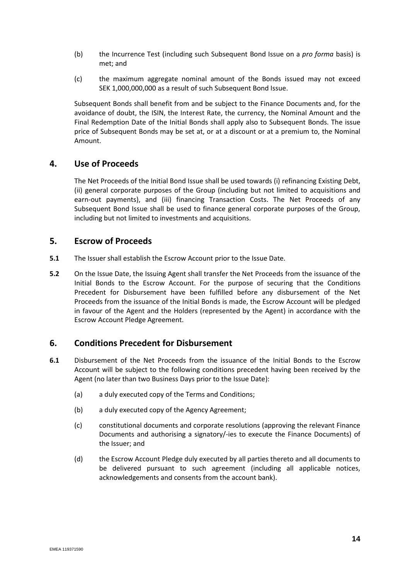- (b) the Incurrence Test (including such Subsequent Bond Issue on a *pro forma* basis) is met; and
- (c) the maximum aggregate nominal amount of the Bonds issued may not exceed SEK 1,000,000,000 as a result of such Subsequent Bond Issue.

Subsequent Bonds shall benefit from and be subject to the Finance Documents and, for the avoidance of doubt, the ISIN, the Interest Rate, the currency, the Nominal Amount and the Final Redemption Date of the Initial Bonds shall apply also to Subsequent Bonds. The issue price of Subsequent Bonds may be set at, or at a discount or at a premium to, the Nominal Amount.

## **4. Use of Proceeds**

The Net Proceeds of the Initial Bond Issue shall be used towards (i) refinancing Existing Debt, (ii) general corporate purposes of the Group (including but not limited to acquisitions and earn-out payments), and (iii) financing Transaction Costs. The Net Proceeds of any Subsequent Bond Issue shall be used to finance general corporate purposes of the Group, including but not limited to investments and acquisitions.

## **5. Escrow of Proceeds**

- **5.1** The Issuer shall establish the Escrow Account prior to the Issue Date.
- **5.2** On the Issue Date, the Issuing Agent shall transfer the Net Proceeds from the issuance of the Initial Bonds to the Escrow Account. For the purpose of securing that the Conditions Precedent for Disbursement have been fulfilled before any disbursement of the Net Proceeds from the issuance of the Initial Bonds is made, the Escrow Account will be pledged in favour of the Agent and the Holders (represented by the Agent) in accordance with the Escrow Account Pledge Agreement.

## <span id="page-15-0"></span>**6. Conditions Precedent for Disbursement**

- <span id="page-15-1"></span>**6.1** Disbursement of the Net Proceeds from the issuance of the Initial Bonds to the Escrow Account will be subject to the following conditions precedent having been received by the Agent (no later than two Business Days prior to the Issue Date):
	- (a) a duly executed copy of the Terms and Conditions;
	- (b) a duly executed copy of the Agency Agreement;
	- (c) constitutional documents and corporate resolutions (approving the relevant Finance Documents and authorising a signatory/-ies to execute the Finance Documents) of the Issuer; and
	- (d) the Escrow Account Pledge duly executed by all parties thereto and all documents to be delivered pursuant to such agreement (including all applicable notices, acknowledgements and consents from the account bank).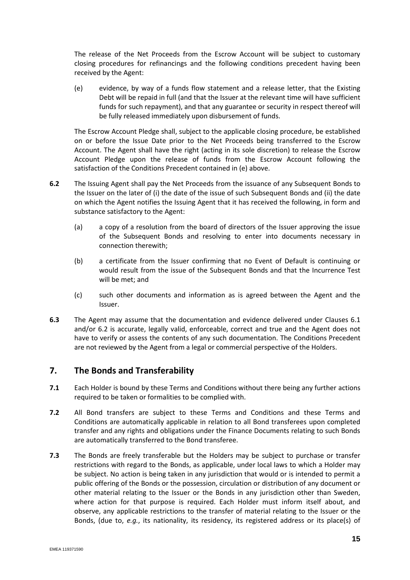The release of the Net Proceeds from the Escrow Account will be subject to customary closing procedures for refinancings and the following conditions precedent having been received by the Agent:

(e) evidence, by way of a funds flow statement and a release letter, that the Existing Debt will be repaid in full (and that the Issuer at the relevant time will have sufficient funds for such repayment), and that any guarantee or security in respect thereof will be fully released immediately upon disbursement of funds.

The Escrow Account Pledge shall, subject to the applicable closing procedure, be established on or before the Issue Date prior to the Net Proceeds being transferred to the Escrow Account. The Agent shall have the right (acting in its sole discretion) to release the Escrow Account Pledge upon the release of funds from the Escrow Account following the satisfaction of the Conditions Precedent contained in (e) above.

- <span id="page-16-0"></span>**6.2** The Issuing Agent shall pay the Net Proceeds from the issuance of any Subsequent Bonds to the Issuer on the later of (i) the date of the issue of such Subsequent Bonds and (ii) the date on which the Agent notifies the Issuing Agent that it has received the following, in form and substance satisfactory to the Agent:
	- (a) a copy of a resolution from the board of directors of the Issuer approving the issue of the Subsequent Bonds and resolving to enter into documents necessary in connection therewith;
	- (b) a certificate from the Issuer confirming that no Event of Default is continuing or would result from the issue of the Subsequent Bonds and that the Incurrence Test will be met; and
	- (c) such other documents and information as is agreed between the Agent and the Issuer.
- **6.3** The Agent may assume that the documentation and evidence delivered under Clauses [6.1](#page-15-1) and/or [6.2](#page-16-0) is accurate, legally valid, enforceable, correct and true and the Agent does not have to verify or assess the contents of any such documentation. The Conditions Precedent are not reviewed by the Agent from a legal or commercial perspective of the Holders.

## **7. The Bonds and Transferability**

- **7.1** Each Holder is bound by these Terms and Conditions without there being any further actions required to be taken or formalities to be complied with.
- **7.2** All Bond transfers are subject to these Terms and Conditions and these Terms and Conditions are automatically applicable in relation to all Bond transferees upon completed transfer and any rights and obligations under the Finance Documents relating to such Bonds are automatically transferred to the Bond transferee.
- **7.3** The Bonds are freely transferable but the Holders may be subject to purchase or transfer restrictions with regard to the Bonds, as applicable, under local laws to which a Holder may be subject. No action is being taken in any jurisdiction that would or is intended to permit a public offering of the Bonds or the possession, circulation or distribution of any document or other material relating to the Issuer or the Bonds in any jurisdiction other than Sweden, where action for that purpose is required. Each Holder must inform itself about, and observe, any applicable restrictions to the transfer of material relating to the Issuer or the Bonds, (due to, *e.g.*, its nationality, its residency, its registered address or its place(s) of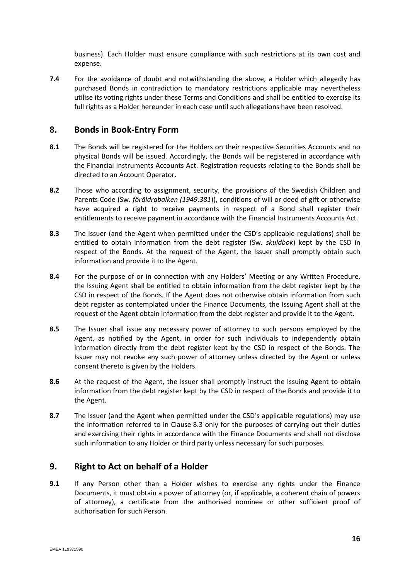business). Each Holder must ensure compliance with such restrictions at its own cost and expense.

**7.4** For the avoidance of doubt and notwithstanding the above, a Holder which allegedly has purchased Bonds in contradiction to mandatory restrictions applicable may nevertheless utilise its voting rights under these Terms and Conditions and shall be entitled to exercise its full rights as a Holder hereunder in each case until such allegations have been resolved.

## **8. Bonds in Book-Entry Form**

- **8.1** The Bonds will be registered for the Holders on their respective Securities Accounts and no physical Bonds will be issued. Accordingly, the Bonds will be registered in accordance with the Financial Instruments Accounts Act. Registration requests relating to the Bonds shall be directed to an Account Operator.
- **8.2** Those who according to assignment, security, the provisions of the Swedish Children and Parents Code (Sw. *föräldrabalken (1949:381*)), conditions of will or deed of gift or otherwise have acquired a right to receive payments in respect of a Bond shall register their entitlements to receive payment in accordance with the Financial Instruments Accounts Act.
- <span id="page-17-0"></span>**8.3** The Issuer (and the Agent when permitted under the CSD's applicable regulations) shall be entitled to obtain information from the debt register (Sw. *skuldbok*) kept by the CSD in respect of the Bonds. At the request of the Agent, the Issuer shall promptly obtain such information and provide it to the Agent.
- **8.4** For the purpose of or in connection with any Holders' Meeting or any Written Procedure, the Issuing Agent shall be entitled to obtain information from the debt register kept by the CSD in respect of the Bonds. If the Agent does not otherwise obtain information from such debt register as contemplated under the Finance Documents, the Issuing Agent shall at the request of the Agent obtain information from the debt register and provide it to the Agent.
- **8.5** The Issuer shall issue any necessary power of attorney to such persons employed by the Agent, as notified by the Agent, in order for such individuals to independently obtain information directly from the debt register kept by the CSD in respect of the Bonds. The Issuer may not revoke any such power of attorney unless directed by the Agent or unless consent thereto is given by the Holders.
- **8.6** At the request of the Agent, the Issuer shall promptly instruct the Issuing Agent to obtain information from the debt register kept by the CSD in respect of the Bonds and provide it to the Agent.
- **8.7** The Issuer (and the Agent when permitted under the CSD's applicable regulations) may use the information referred to in Clause [8.3](#page-17-0) only for the purposes of carrying out their duties and exercising their rights in accordance with the Finance Documents and shall not disclose such information to any Holder or third party unless necessary for such purposes.

## <span id="page-17-2"></span>**9. Right to Act on behalf of a Holder**

<span id="page-17-1"></span>**9.1** If any Person other than a Holder wishes to exercise any rights under the Finance Documents, it must obtain a power of attorney (or, if applicable, a coherent chain of powers of attorney), a certificate from the authorised nominee or other sufficient proof of authorisation for such Person.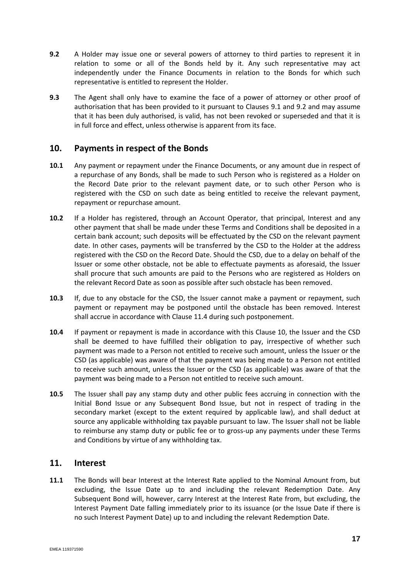- <span id="page-18-1"></span>**9.2** A Holder may issue one or several powers of attorney to third parties to represent it in relation to some or all of the Bonds held by it. Any such representative may act independently under the Finance Documents in relation to the Bonds for which such representative is entitled to represent the Holder.
- **9.3** The Agent shall only have to examine the face of a power of attorney or other proof of authorisation that has been provided to it pursuant to Clauses [9.1](#page-17-1) and [9.2](#page-18-1) and may assume that it has been duly authorised, is valid, has not been revoked or superseded and that it is in full force and effect, unless otherwise is apparent from its face.

## <span id="page-18-2"></span>**10. Payments in respect of the Bonds**

- <span id="page-18-3"></span>**10.1** Any payment or repayment under the Finance Documents, or any amount due in respect of a repurchase of any Bonds, shall be made to such Person who is registered as a Holder on the Record Date prior to the relevant payment date, or to such other Person who is registered with the CSD on such date as being entitled to receive the relevant payment, repayment or repurchase amount.
- **10.2** If a Holder has registered, through an Account Operator, that principal, Interest and any other payment that shall be made under these Terms and Conditions shall be deposited in a certain bank account; such deposits will be effectuated by the CSD on the relevant payment date. In other cases, payments will be transferred by the CSD to the Holder at the address registered with the CSD on the Record Date. Should the CSD, due to a delay on behalf of the Issuer or some other obstacle, not be able to effectuate payments as aforesaid, the Issuer shall procure that such amounts are paid to the Persons who are registered as Holders on the relevant Record Date as soon as possible after such obstacle has been removed.
- **10.3** If, due to any obstacle for the CSD, the Issuer cannot make a payment or repayment, such payment or repayment may be postponed until the obstacle has been removed. Interest shall accrue in accordance with Claus[e 11.4](#page-19-3) during such postponement.
- **10.4** If payment or repayment is made in accordance with this Clause [10,](#page-18-2) the Issuer and the CSD shall be deemed to have fulfilled their obligation to pay, irrespective of whether such payment was made to a Person not entitled to receive such amount, unless the Issuer or the CSD (as applicable) was aware of that the payment was being made to a Person not entitled to receive such amount, unless the Issuer or the CSD (as applicable) was aware of that the payment was being made to a Person not entitled to receive such amount.
- **10.5** The Issuer shall pay any stamp duty and other public fees accruing in connection with the Initial Bond Issue or any Subsequent Bond Issue, but not in respect of trading in the secondary market (except to the extent required by applicable law), and shall deduct at source any applicable withholding tax payable pursuant to law. The Issuer shall not be liable to reimburse any stamp duty or public fee or to gross-up any payments under these Terms and Conditions by virtue of any withholding tax.

## **11. Interest**

<span id="page-18-0"></span>**11.1** The Bonds will bear Interest at the Interest Rate applied to the Nominal Amount from, but excluding, the Issue Date up to and including the relevant Redemption Date. Any Subsequent Bond will, however, carry Interest at the Interest Rate from, but excluding, the Interest Payment Date falling immediately prior to its issuance (or the Issue Date if there is no such Interest Payment Date) up to and including the relevant Redemption Date.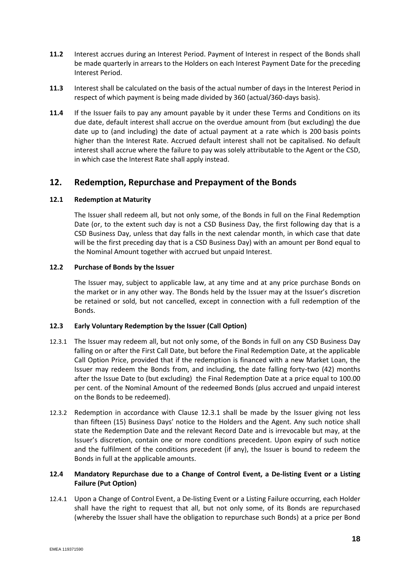- **11.2** Interest accrues during an Interest Period. Payment of Interest in respect of the Bonds shall be made quarterly in arrears to the Holders on each Interest Payment Date for the preceding Interest Period.
- <span id="page-19-1"></span>**11.3** Interest shall be calculated on the basis of the actual number of days in the Interest Period in respect of which payment is being made divided by 360 (actual/360-days basis).
- <span id="page-19-3"></span>**11.4** If the Issuer fails to pay any amount payable by it under these Terms and Conditions on its due date, default interest shall accrue on the overdue amount from (but excluding) the due date up to (and including) the date of actual payment at a rate which is 200 basis points higher than the Interest Rate. Accrued default interest shall not be capitalised. No default interest shall accrue where the failure to pay was solely attributable to the Agent or the CSD, in which case the Interest Rate shall apply instead.

## <span id="page-19-2"></span>**12. Redemption, Repurchase and Prepayment of the Bonds**

#### **12.1 Redemption at Maturity**

The Issuer shall redeem all, but not only some, of the Bonds in full on the Final Redemption Date (or, to the extent such day is not a CSD Business Day, the first following day that is a CSD Business Day, unless that day falls in the next calendar month, in which case that date will be the first preceding day that is a CSD Business Day) with an amount per Bond equal to the Nominal Amount together with accrued but unpaid Interest.

#### <span id="page-19-7"></span>**12.2 Purchase of Bonds by the Issuer**

The Issuer may, subject to applicable law, at any time and at any price purchase Bonds on the market or in any other way. The Bonds held by the Issuer may at the Issuer's discretion be retained or sold, but not cancelled, except in connection with a full redemption of the Bonds.

#### <span id="page-19-0"></span>**12.3 Early Voluntary Redemption by the Issuer (Call Option)**

- <span id="page-19-4"></span>12.3.1 The Issuer may redeem all, but not only some, of the Bonds in full on any CSD Business Day falling on or after the First Call Date, but before the Final Redemption Date, at the applicable Call Option Price, provided that if the redemption is financed with a new Market Loan, the Issuer may redeem the Bonds from, and including, the date falling forty-two (42) months after the Issue Date to (but excluding) the Final Redemption Date at a price equal to 100.00 per cent. of the Nominal Amount of the redeemed Bonds (plus accrued and unpaid interest on the Bonds to be redeemed).
- <span id="page-19-8"></span>12.3.2 Redemption in accordance with Clause [12.3.1](#page-19-4) shall be made by the Issuer giving not less than fifteen (15) Business Days' notice to the Holders and the Agent. Any such notice shall state the Redemption Date and the relevant Record Date and is irrevocable but may, at the Issuer's discretion, contain one or more conditions precedent. Upon expiry of such notice and the fulfilment of the conditions precedent (if any), the Issuer is bound to redeem the Bonds in full at the applicable amounts.

#### <span id="page-19-6"></span>**12.4 Mandatory Repurchase due to a Change of Control Event, a De-listing Event or a Listing Failure (Put Option)**

<span id="page-19-5"></span>12.4.1 Upon a Change of Control Event, a De-listing Event or a Listing Failure occurring, each Holder shall have the right to request that all, but not only some, of its Bonds are repurchased (whereby the Issuer shall have the obligation to repurchase such Bonds) at a price per Bond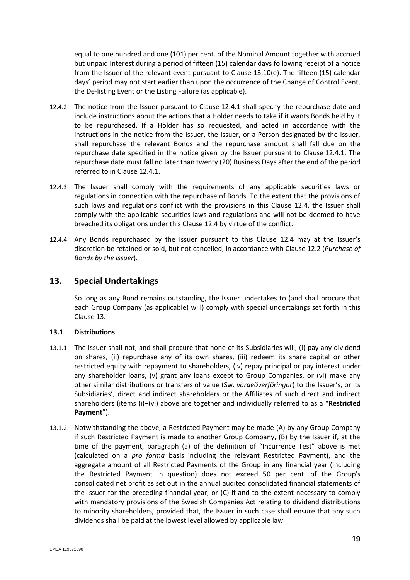equal to one hundred and one (101) per cent. of the Nominal Amount together with accrued but unpaid Interest during a period of fifteen (15) calendar days following receipt of a notice from the Issuer of the relevant event pursuant to Clause 13.10(e). The fifteen (15) calendar days' period may not start earlier than upon the occurrence of the Change of Control Event, the De-listing Event or the Listing Failure (as applicable).

- 12.4.2 The notice from the Issuer pursuant to Clause [12.4.1](#page-19-5) shall specify the repurchase date and include instructions about the actions that a Holder needs to take if it wants Bonds held by it to be repurchased. If a Holder has so requested, and acted in accordance with the instructions in the notice from the Issuer, the Issuer, or a Person designated by the Issuer, shall repurchase the relevant Bonds and the repurchase amount shall fall due on the repurchase date specified in the notice given by the Issuer pursuant to Clause [12.4.1.](#page-19-5) The repurchase date must fall no later than twenty (20) Business Days after the end of the period referred to in Clause [12.4.1.](#page-19-5)
- 12.4.3 The Issuer shall comply with the requirements of any applicable securities laws or regulations in connection with the repurchase of Bonds. To the extent that the provisions of such laws and regulations conflict with the provisions in this Clause [12.4,](#page-19-6) the Issuer shall comply with the applicable securities laws and regulations and will not be deemed to have breached its obligations under this Clause [12.4](#page-19-6) by virtue of the conflict.
- 12.4.4 Any Bonds repurchased by the Issuer pursuant to this Clause [12.4](#page-19-6) may at the Issuer's discretion be retained or sold, but not cancelled, in accordance with Clause [12.2](#page-19-7) (*Purchase of Bonds by the Issuer*).

## <span id="page-20-1"></span>**13. Special Undertakings**

So long as any Bond remains outstanding, the Issuer undertakes to (and shall procure that each Group Company (as applicable) will) comply with special undertakings set forth in this Clause [13.](#page-20-1)

#### <span id="page-20-0"></span>**13.1 Distributions**

- 13.1.1 The Issuer shall not, and shall procure that none of its Subsidiaries will, (i) pay any dividend on shares, (ii) repurchase any of its own shares, (iii) redeem its share capital or other restricted equity with repayment to shareholders, (iv) repay principal or pay interest under any shareholder loans, (v) grant any loans except to Group Companies, or (vi) make any other similar distributions or transfers of value (Sw. *värdeöverföringar*) to the Issuer's, or its Subsidiaries', direct and indirect shareholders or the Affiliates of such direct and indirect shareholders (items (i)–(vi) above are together and individually referred to as a "**Restricted Payment**").
- 13.1.2 Notwithstanding the above, a Restricted Payment may be made (A) by any Group Company if such Restricted Payment is made to another Group Company, (B) by the Issuer if, at the time of the payment, paragraph (a) of the definition of "Incurrence Test" above is met (calculated on a *pro forma* basis including the relevant Restricted Payment), and the aggregate amount of all Restricted Payments of the Group in any financial year (including the Restricted Payment in question) does not exceed 50 per cent. of the Group's consolidated net profit as set out in the annual audited consolidated financial statements of the Issuer for the preceding financial year, or (C) if and to the extent necessary to comply with mandatory provisions of the Swedish Companies Act relating to dividend distributions to minority shareholders, provided that, the Issuer in such case shall ensure that any such dividends shall be paid at the lowest level allowed by applicable law.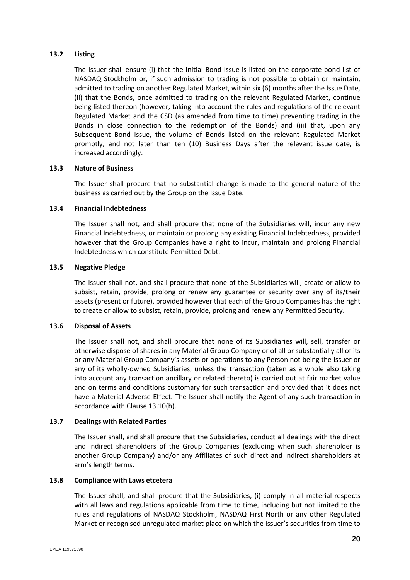#### **13.2 Listing**

The Issuer shall ensure (i) that the Initial Bond Issue is listed on the corporate bond list of NASDAQ Stockholm or, if such admission to trading is not possible to obtain or maintain, admitted to trading on another Regulated Market, within six (6) months after the Issue Date, (ii) that the Bonds, once admitted to trading on the relevant Regulated Market, continue being listed thereon (however, taking into account the rules and regulations of the relevant Regulated Market and the CSD (as amended from time to time) preventing trading in the Bonds in close connection to the redemption of the Bonds) and (iii) that, upon any Subsequent Bond Issue, the volume of Bonds listed on the relevant Regulated Market promptly, and not later than ten (10) Business Days after the relevant issue date, is increased accordingly.

#### **13.3 Nature of Business**

The Issuer shall procure that no substantial change is made to the general nature of the business as carried out by the Group on the Issue Date.

#### **13.4 Financial Indebtedness**

The Issuer shall not, and shall procure that none of the Subsidiaries will, incur any new Financial Indebtedness, or maintain or prolong any existing Financial Indebtedness, provided however that the Group Companies have a right to incur, maintain and prolong Financial Indebtedness which constitute Permitted Debt.

#### **13.5 Negative Pledge**

The Issuer shall not, and shall procure that none of the Subsidiaries will, create or allow to subsist, retain, provide, prolong or renew any guarantee or security over any of its/their assets (present or future), provided however that each of the Group Companies has the right to create or allow to subsist, retain, provide, prolong and renew any Permitted Security.

#### **13.6 Disposal of Assets**

The Issuer shall not, and shall procure that none of its Subsidiaries will, sell, transfer or otherwise dispose of shares in any Material Group Company or of all or substantially all of its or any Material Group Company's assets or operations to any Person not being the Issuer or any of its wholly-owned Subsidiaries, unless the transaction (taken as a whole also taking into account any transaction ancillary or related thereto) is carried out at fair market value and on terms and conditions customary for such transaction and provided that it does not have a Material Adverse Effect. The Issuer shall notify the Agent of any such transaction in accordance with Clause 13.10(h).

#### **13.7 Dealings with Related Parties**

The Issuer shall, and shall procure that the Subsidiaries, conduct all dealings with the direct and indirect shareholders of the Group Companies (excluding when such shareholder is another Group Company) and/or any Affiliates of such direct and indirect shareholders at arm's length terms.

#### **13.8 Compliance with Laws etcetera**

The Issuer shall, and shall procure that the Subsidiaries, (i) comply in all material respects with all laws and regulations applicable from time to time, including but not limited to the rules and regulations of NASDAQ Stockholm, NASDAQ First North or any other Regulated Market or recognised unregulated market place on which the Issuer's securities from time to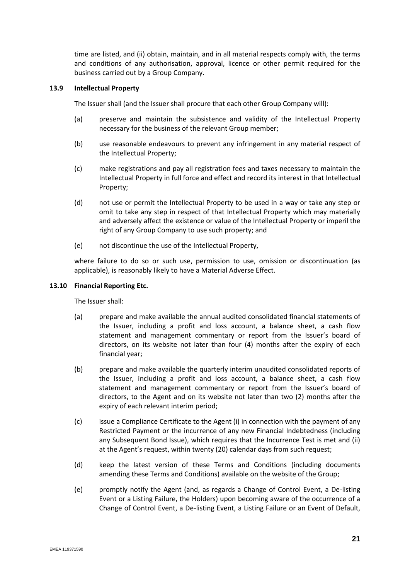time are listed, and (ii) obtain, maintain, and in all material respects comply with, the terms and conditions of any authorisation, approval, licence or other permit required for the business carried out by a Group Company.

#### **13.9 Intellectual Property**

The Issuer shall (and the Issuer shall procure that each other Group Company will):

- (a) preserve and maintain the subsistence and validity of the Intellectual Property necessary for the business of the relevant Group member;
- (b) use reasonable endeavours to prevent any infringement in any material respect of the Intellectual Property;
- (c) make registrations and pay all registration fees and taxes necessary to maintain the Intellectual Property in full force and effect and record its interest in that Intellectual Property;
- (d) not use or permit the Intellectual Property to be used in a way or take any step or omit to take any step in respect of that Intellectual Property which may materially and adversely affect the existence or value of the Intellectual Property or imperil the right of any Group Company to use such property; and
- (e) not discontinue the use of the Intellectual Property,

where failure to do so or such use, permission to use, omission or discontinuation (as applicable), is reasonably likely to have a Material Adverse Effect.

#### <span id="page-22-0"></span>**13.10 Financial Reporting Etc.**

The Issuer shall:

- (a) prepare and make available the annual audited consolidated financial statements of the Issuer, including a profit and loss account, a balance sheet, a cash flow statement and management commentary or report from the Issuer's board of directors, on its website not later than four (4) months after the expiry of each financial year;
- (b) prepare and make available the quarterly interim unaudited consolidated reports of the Issuer, including a profit and loss account, a balance sheet, a cash flow statement and management commentary or report from the Issuer's board of directors, to the Agent and on its website not later than two (2) months after the expiry of each relevant interim period;
- (c) issue a Compliance Certificate to the Agent (i) in connection with the payment of any Restricted Payment or the incurrence of any new Financial Indebtedness (including any Subsequent Bond Issue), which requires that the Incurrence Test is met and (ii) at the Agent's request, within twenty (20) calendar days from such request;
- (d) keep the latest version of these Terms and Conditions (including documents amending these Terms and Conditions) available on the website of the Group;
- (e) promptly notify the Agent (and, as regards a Change of Control Event, a De-listing Event or a Listing Failure, the Holders) upon becoming aware of the occurrence of a Change of Control Event, a De-listing Event, a Listing Failure or an Event of Default,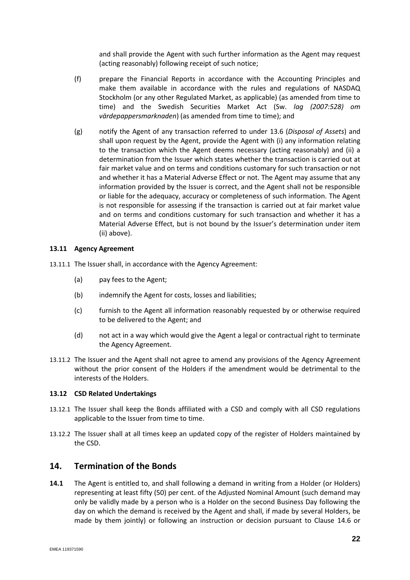and shall provide the Agent with such further information as the Agent may request (acting reasonably) following receipt of such notice;

- (f) prepare the Financial Reports in accordance with the Accounting Principles and make them available in accordance with the rules and regulations of NASDAQ Stockholm (or any other Regulated Market, as applicable) (as amended from time to time) and the Swedish Securities Market Act (Sw. *lag (2007:528) om värdepappersmarknaden*) (as amended from time to time); and
- (g) notify the Agent of any transaction referred to under 13.6 (*Disposal of Assets*) and shall upon request by the Agent, provide the Agent with (i) any information relating to the transaction which the Agent deems necessary (acting reasonably) and (ii) a determination from the Issuer which states whether the transaction is carried out at fair market value and on terms and conditions customary for such transaction or not and whether it has a Material Adverse Effect or not. The Agent may assume that any information provided by the Issuer is correct, and the Agent shall not be responsible or liable for the adequacy, accuracy or completeness of such information. The Agent is not responsible for assessing if the transaction is carried out at fair market value and on terms and conditions customary for such transaction and whether it has a Material Adverse Effect, but is not bound by the Issuer's determination under item (ii) above).

#### **13.11 Agency Agreement**

- 13.11.1 The Issuer shall, in accordance with the Agency Agreement:
	- (a) pay fees to the Agent;
	- (b) indemnify the Agent for costs, losses and liabilities;
	- (c) furnish to the Agent all information reasonably requested by or otherwise required to be delivered to the Agent; and
	- (d) not act in a way which would give the Agent a legal or contractual right to terminate the Agency Agreement.
- 13.11.2 The Issuer and the Agent shall not agree to amend any provisions of the Agency Agreement without the prior consent of the Holders if the amendment would be detrimental to the interests of the Holders.

#### **13.12 CSD Related Undertakings**

- 13.12.1 The Issuer shall keep the Bonds affiliated with a CSD and comply with all CSD regulations applicable to the Issuer from time to time.
- 13.12.2 The Issuer shall at all times keep an updated copy of the register of Holders maintained by the CSD.

## <span id="page-23-1"></span>**14. Termination of the Bonds**

<span id="page-23-0"></span>**14.1** The Agent is entitled to, and shall following a demand in writing from a Holder (or Holders) representing at least fifty (50) per cent. of the Adjusted Nominal Amount (such demand may only be validly made by a person who is a Holder on the second Business Day following the day on which the demand is received by the Agent and shall, if made by several Holders, be made by them jointly) or following an instruction or decision pursuant to Clause [14.6](#page-26-1) or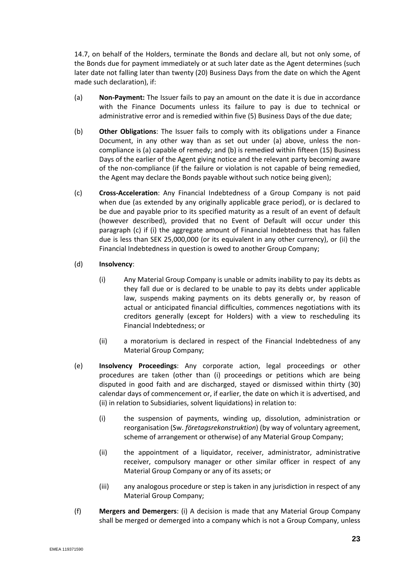[14.7,](#page-26-2) on behalf of the Holders, terminate the Bonds and declare all, but not only some, of the Bonds due for payment immediately or at such later date as the Agent determines (such later date not falling later than twenty (20) Business Days from the date on which the Agent made such declaration), if:

- (a) **Non-Payment:** The Issuer fails to pay an amount on the date it is due in accordance with the Finance Documents unless its failure to pay is due to technical or administrative error and is remedied within five (5) Business Days of the due date;
- (b) **Other Obligations**: The Issuer fails to comply with its obligations under a Finance Document, in any other way than as set out under (a) above, unless the noncompliance is (a) capable of remedy; and (b) is remedied within fifteen (15) Business Days of the earlier of the Agent giving notice and the relevant party becoming aware of the non-compliance (if the failure or violation is not capable of being remedied, the Agent may declare the Bonds payable without such notice being given);
- (c) **Cross-Acceleration**: Any Financial Indebtedness of a Group Company is not paid when due (as extended by any originally applicable grace period), or is declared to be due and payable prior to its specified maturity as a result of an event of default (however described), provided that no Event of Default will occur under this paragraph (c) if (i) the aggregate amount of Financial Indebtedness that has fallen due is less than SEK 25,000,000 (or its equivalent in any other currency), or (ii) the Financial Indebtedness in question is owed to another Group Company;

#### <span id="page-24-0"></span>(d) **Insolvency**:

- (i) Any Material Group Company is unable or admits inability to pay its debts as they fall due or is declared to be unable to pay its debts under applicable law, suspends making payments on its debts generally or, by reason of actual or anticipated financial difficulties, commences negotiations with its creditors generally (except for Holders) with a view to rescheduling its Financial Indebtedness; or
- (ii) a moratorium is declared in respect of the Financial Indebtedness of any Material Group Company;
- (e) **Insolvency Proceedings**: Any corporate action, legal proceedings or other procedures are taken (other than (i) proceedings or petitions which are being disputed in good faith and are discharged, stayed or dismissed within thirty (30) calendar days of commencement or, if earlier, the date on which it is advertised, and (ii) in relation to Subsidiaries, solvent liquidations) in relation to:
	- (i) the suspension of payments, winding up, dissolution, administration or reorganisation (Sw. *företagsrekonstruktion*) (by way of voluntary agreement, scheme of arrangement or otherwise) of any Material Group Company;
	- (ii) the appointment of a liquidator, receiver, administrator, administrative receiver, compulsory manager or other similar officer in respect of any Material Group Company or any of its assets; or
	- (iii) any analogous procedure or step is taken in any jurisdiction in respect of any Material Group Company;
- (f) **Mergers and Demergers**: (i) A decision is made that any Material Group Company shall be merged or demerged into a company which is not a Group Company, unless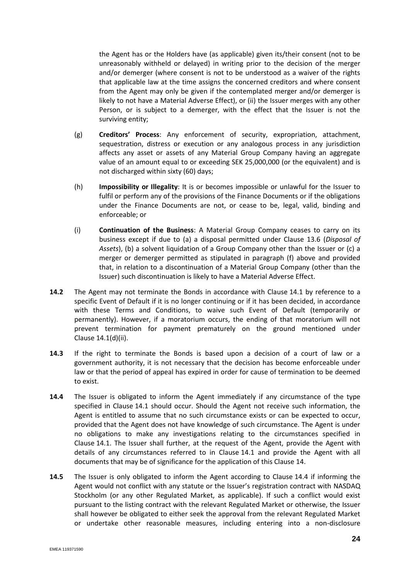the Agent has or the Holders have (as applicable) given its/their consent (not to be unreasonably withheld or delayed) in writing prior to the decision of the merger and/or demerger (where consent is not to be understood as a waiver of the rights that applicable law at the time assigns the concerned creditors and where consent from the Agent may only be given if the contemplated merger and/or demerger is likely to not have a Material Adverse Effect), or (ii) the Issuer merges with any other Person, or is subject to a demerger, with the effect that the Issuer is not the surviving entity;

- (g) **Creditors' Process**: Any enforcement of security, expropriation, attachment, sequestration, distress or execution or any analogous process in any jurisdiction affects any asset or assets of any Material Group Company having an aggregate value of an amount equal to or exceeding SEK 25,000,000 (or the equivalent) and is not discharged within sixty (60) days;
- (h) **Impossibility or Illegality**: It is or becomes impossible or unlawful for the Issuer to fulfil or perform any of the provisions of the Finance Documents or if the obligations under the Finance Documents are not, or cease to be, legal, valid, binding and enforceable; or
- (i) **Continuation of the Business**: A Material Group Company ceases to carry on its business except if due to (a) a disposal permitted under Clause 13.6 (*Disposal of Assets*), (b) a solvent liquidation of a Group Company other than the Issuer or (c) a merger or demerger permitted as stipulated in paragraph (f) above and provided that, in relation to a discontinuation of a Material Group Company (other than the Issuer) such discontinuation is likely to have a Material Adverse Effect.
- **14.2** The Agent may not terminate the Bonds in accordance with Clause [14.1](#page-23-0) by reference to a specific Event of Default if it is no longer continuing or if it has been decided, in accordance with these Terms and Conditions, to waive such Event of Default (temporarily or permanently). However, if a moratorium occurs, the ending of that moratorium will not prevent termination for payment prematurely on the ground mentioned under Clause [14.1\(d\)\(](#page-24-0)ii).
- **14.3** If the right to terminate the Bonds is based upon a decision of a court of law or a government authority, it is not necessary that the decision has become enforceable under law or that the period of appeal has expired in order for cause of termination to be deemed to exist.
- <span id="page-25-0"></span>**14.4** The Issuer is obligated to inform the Agent immediately if any circumstance of the type specified in Clause [14.1](#page-23-0) should occur. Should the Agent not receive such information, the Agent is entitled to assume that no such circumstance exists or can be expected to occur, provided that the Agent does not have knowledge of such circumstance. The Agent is under no obligations to make any investigations relating to the circumstances specified in Clause [14.1.](#page-23-0) The Issuer shall further, at the request of the Agent, provide the Agent with details of any circumstances referred to in Clause [14.1](#page-23-0) and provide the Agent with all documents that may be of significance for the application of this Clause [14.](#page-23-1)
- **14.5** The Issuer is only obligated to inform the Agent according to Clause [14.4](#page-25-0) if informing the Agent would not conflict with any statute or the Issuer's registration contract with NASDAQ Stockholm (or any other Regulated Market, as applicable). If such a conflict would exist pursuant to the listing contract with the relevant Regulated Market or otherwise, the Issuer shall however be obligated to either seek the approval from the relevant Regulated Market or undertake other reasonable measures, including entering into a non-disclosure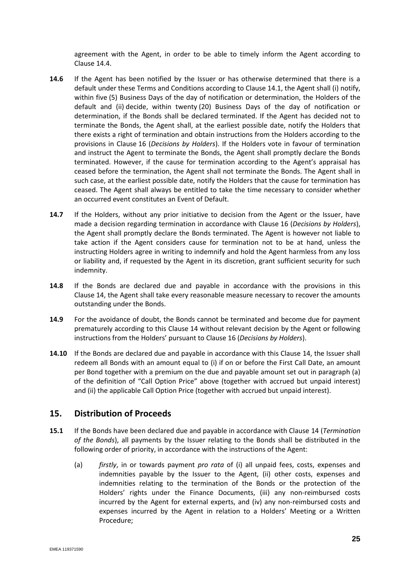agreement with the Agent, in order to be able to timely inform the Agent according to Clause [14.4.](#page-25-0)

- <span id="page-26-1"></span>**14.6** If the Agent has been notified by the Issuer or has otherwise determined that there is a default under these Terms and Conditions according to Clause [14.1,](#page-23-0) the Agent shall (i) notify, within five (5) Business Days of the day of notification or determination, the Holders of the default and (ii) decide, within twenty (20) Business Days of the day of notification or determination, if the Bonds shall be declared terminated. If the Agent has decided not to terminate the Bonds, the Agent shall, at the earliest possible date, notify the Holders that there exists a right of termination and obtain instructions from the Holders according to the provisions in Clause [16](#page-27-0) (*Decisions by Holders*). If the Holders vote in favour of termination and instruct the Agent to terminate the Bonds, the Agent shall promptly declare the Bonds terminated. However, if the cause for termination according to the Agent's appraisal has ceased before the termination, the Agent shall not terminate the Bonds. The Agent shall in such case, at the earliest possible date, notify the Holders that the cause for termination has ceased. The Agent shall always be entitled to take the time necessary to consider whether an occurred event constitutes an Event of Default.
- <span id="page-26-2"></span>**14.7** If the Holders, without any prior initiative to decision from the Agent or the Issuer, have made a decision regarding termination in accordance with Clause [16](#page-27-0) (*Decisions by Holders*), the Agent shall promptly declare the Bonds terminated. The Agent is however not liable to take action if the Agent considers cause for termination not to be at hand, unless the instructing Holders agree in writing to indemnify and hold the Agent harmless from any loss or liability and, if requested by the Agent in its discretion, grant sufficient security for such indemnity.
- **14.8** If the Bonds are declared due and payable in accordance with the provisions in this Clause [14,](#page-23-1) the Agent shall take every reasonable measure necessary to recover the amounts outstanding under the Bonds.
- **14.9** For the avoidance of doubt, the Bonds cannot be terminated and become due for payment prematurely according to this Clause [14](#page-23-1) without relevant decision by the Agent or following instructions from the Holders' pursuant to Clause [16](#page-27-0) (*Decisions by Holders*).
- **14.10** If the Bonds are declared due and payable in accordance with this Clause [14,](#page-23-1) the Issuer shall redeem all Bonds with an amount equal to (i) if on or before the First Call Date, an amount per Bond together with a premium on the due and payable amount set out in paragraph (a) of the definition of "Call Option Price" above (together with accrued but unpaid interest) and (ii) the applicable Call Option Price (together with accrued but unpaid interest).

## <span id="page-26-0"></span>**15. Distribution of Proceeds**

- <span id="page-26-3"></span>**15.1** If the Bonds have been declared due and payable in accordance with Clause [14](#page-23-1) (*Termination of the Bonds*), all payments by the Issuer relating to the Bonds shall be distributed in the following order of priority, in accordance with the instructions of the Agent:
	- (a) *firstly*, in or towards payment *pro rata* of (i) all unpaid fees, costs, expenses and indemnities payable by the Issuer to the Agent, (ii) other costs, expenses and indemnities relating to the termination of the Bonds or the protection of the Holders' rights under the Finance Documents, (iii) any non-reimbursed costs incurred by the Agent for external experts, and (iv) any non-reimbursed costs and expenses incurred by the Agent in relation to a Holders' Meeting or a Written Procedure;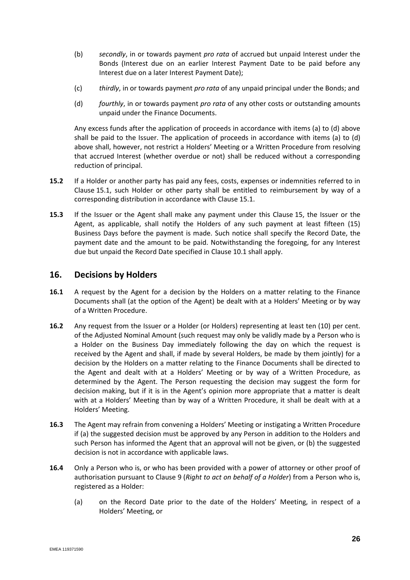- (b) *secondly*, in or towards payment *pro rata* of accrued but unpaid Interest under the Bonds (Interest due on an earlier Interest Payment Date to be paid before any Interest due on a later Interest Payment Date);
- (c) *thirdly*, in or towards payment *pro rata* of any unpaid principal under the Bonds; and
- (d) *fourthly*, in or towards payment *pro rata* of any other costs or outstanding amounts unpaid under the Finance Documents.

Any excess funds after the application of proceeds in accordance with items (a) to (d) above shall be paid to the Issuer. The application of proceeds in accordance with items (a) to (d) above shall, however, not restrict a Holders' Meeting or a Written Procedure from resolving that accrued Interest (whether overdue or not) shall be reduced without a corresponding reduction of principal.

- **15.2** If a Holder or another party has paid any fees, costs, expenses or indemnities referred to in Clause [15.1,](#page-26-3) such Holder or other party shall be entitled to reimbursement by way of a corresponding distribution in accordance with Clause [15.1.](#page-26-3)
- <span id="page-27-1"></span>**15.3** If the Issuer or the Agent shall make any payment under this Clause [15,](#page-26-0) the Issuer or the Agent, as applicable, shall notify the Holders of any such payment at least fifteen (15) Business Days before the payment is made. Such notice shall specify the Record Date, the payment date and the amount to be paid. Notwithstanding the foregoing, for any Interest due but unpaid the Record Date specified in Claus[e 10.1](#page-18-3) shall apply.

## <span id="page-27-0"></span>**16. Decisions by Holders**

- **16.1** A request by the Agent for a decision by the Holders on a matter relating to the Finance Documents shall (at the option of the Agent) be dealt with at a Holders' Meeting or by way of a Written Procedure.
- **16.2** Any request from the Issuer or a Holder (or Holders) representing at least ten (10) per cent. of the Adjusted Nominal Amount (such request may only be validly made by a Person who is a Holder on the Business Day immediately following the day on which the request is received by the Agent and shall, if made by several Holders, be made by them jointly) for a decision by the Holders on a matter relating to the Finance Documents shall be directed to the Agent and dealt with at a Holders' Meeting or by way of a Written Procedure, as determined by the Agent. The Person requesting the decision may suggest the form for decision making, but if it is in the Agent's opinion more appropriate that a matter is dealt with at a Holders' Meeting than by way of a Written Procedure, it shall be dealt with at a Holders' Meeting.
- **16.3** The Agent may refrain from convening a Holders' Meeting or instigating a Written Procedure if (a) the suggested decision must be approved by any Person in addition to the Holders and such Person has informed the Agent that an approval will not be given, or (b) the suggested decision is not in accordance with applicable laws.
- **16.4** Only a Person who is, or who has been provided with a power of attorney or other proof of authorisation pursuant to Clause [9](#page-17-2) (*Right to act on behalf of a Holder*) from a Person who is, registered as a Holder:
	- (a) on the Record Date prior to the date of the Holders' Meeting, in respect of a Holders' Meeting, or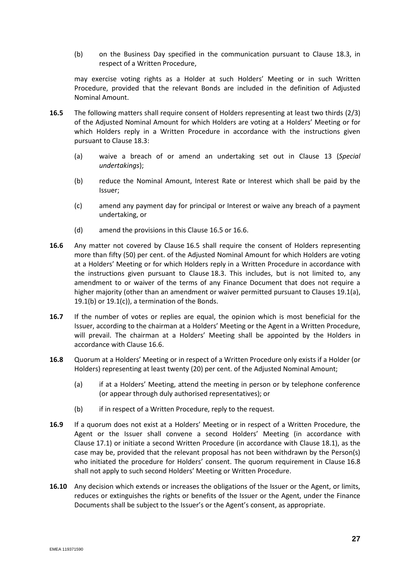(b) on the Business Day specified in the communication pursuant to Clause [18.3,](#page-30-1) in respect of a Written Procedure,

may exercise voting rights as a Holder at such Holders' Meeting or in such Written Procedure, provided that the relevant Bonds are included in the definition of Adjusted Nominal Amount.

- <span id="page-28-0"></span>**16.5** The following matters shall require consent of Holders representing at least two thirds (2/3) of the Adjusted Nominal Amount for which Holders are voting at a Holders' Meeting or for which Holders reply in a Written Procedure in accordance with the instructions given pursuant to Clause [18.3:](#page-30-1)
	- (a) waive a breach of or amend an undertaking set out in Clause [13](#page-20-1) (*Special undertakings*);
	- (b) reduce the Nominal Amount, Interest Rate or Interest which shall be paid by the Issuer;
	- (c) amend any payment day for principal or Interest or waive any breach of a payment undertaking, or
	- (d) amend the provisions in this Clause [16.5](#page-28-0) o[r 16.6.](#page-28-1)
- <span id="page-28-1"></span>**16.6** Any matter not covered by Clause [16.5](#page-28-0) shall require the consent of Holders representing more than fifty (50) per cent. of the Adjusted Nominal Amount for which Holders are voting at a Holders' Meeting or for which Holders reply in a Written Procedure in accordance with the instructions given pursuant to Clause [18.3.](#page-30-1) This includes, but is not limited to, any amendment to or waiver of the terms of any Finance Document that does not require a higher majority (other than an amendment or waiver permitted pursuant to Clauses [19.1\(a\),](#page-31-0) [19.1\(b\)](#page-31-1) or  $19.1(c)$ , a termination of the Bonds.
- **16.7** If the number of votes or replies are equal, the opinion which is most beneficial for the Issuer, according to the chairman at a Holders' Meeting or the Agent in a Written Procedure, will prevail. The chairman at a Holders' Meeting shall be appointed by the Holders in accordance with Clause [16.6.](#page-28-1)
- <span id="page-28-2"></span>**16.8** Quorum at a Holders' Meeting or in respect of a Written Procedure only exists if a Holder (or Holders) representing at least twenty (20) per cent. of the Adjusted Nominal Amount;
	- (a) if at a Holders' Meeting, attend the meeting in person or by telephone conference (or appear through duly authorised representatives); or
	- (b) if in respect of a Written Procedure, reply to the request.
- **16.9** If a quorum does not exist at a Holders' Meeting or in respect of a Written Procedure, the Agent or the Issuer shall convene a second Holders' Meeting (in accordance with Clause [17.1\)](#page-29-1) or initiate a second Written Procedure (in accordance with Clause [18.1\)](#page-30-2), as the case may be, provided that the relevant proposal has not been withdrawn by the Person(s) who initiated the procedure for Holders' consent. The quorum requirement in Clause [16.8](#page-28-2) shall not apply to such second Holders' Meeting or Written Procedure.
- **16.10** Any decision which extends or increases the obligations of the Issuer or the Agent, or limits, reduces or extinguishes the rights or benefits of the Issuer or the Agent, under the Finance Documents shall be subject to the Issuer's or the Agent's consent, as appropriate.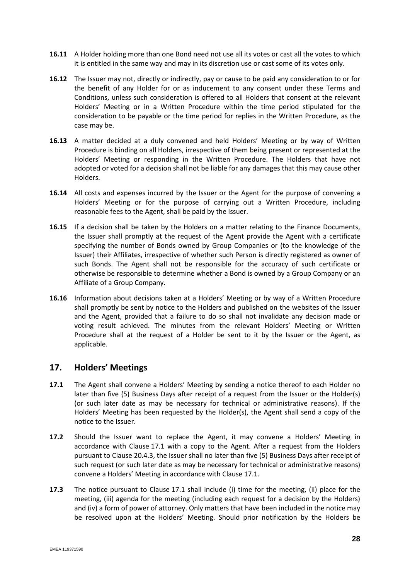- **16.11** A Holder holding more than one Bond need not use all its votes or cast all the votes to which it is entitled in the same way and may in its discretion use or cast some of its votes only.
- **16.12** The Issuer may not, directly or indirectly, pay or cause to be paid any consideration to or for the benefit of any Holder for or as inducement to any consent under these Terms and Conditions, unless such consideration is offered to all Holders that consent at the relevant Holders' Meeting or in a Written Procedure within the time period stipulated for the consideration to be payable or the time period for replies in the Written Procedure, as the case may be.
- **16.13** A matter decided at a duly convened and held Holders' Meeting or by way of Written Procedure is binding on all Holders, irrespective of them being present or represented at the Holders' Meeting or responding in the Written Procedure. The Holders that have not adopted or voted for a decision shall not be liable for any damages that this may cause other Holders.
- **16.14** All costs and expenses incurred by the Issuer or the Agent for the purpose of convening a Holders' Meeting or for the purpose of carrying out a Written Procedure, including reasonable fees to the Agent, shall be paid by the Issuer.
- **16.15** If a decision shall be taken by the Holders on a matter relating to the Finance Documents, the Issuer shall promptly at the request of the Agent provide the Agent with a certificate specifying the number of Bonds owned by Group Companies or (to the knowledge of the Issuer) their Affiliates, irrespective of whether such Person is directly registered as owner of such Bonds. The Agent shall not be responsible for the accuracy of such certificate or otherwise be responsible to determine whether a Bond is owned by a Group Company or an Affiliate of a Group Company.
- <span id="page-29-2"></span>**16.16** Information about decisions taken at a Holders' Meeting or by way of a Written Procedure shall promptly be sent by notice to the Holders and published on the websites of the Issuer and the Agent, provided that a failure to do so shall not invalidate any decision made or voting result achieved. The minutes from the relevant Holders' Meeting or Written Procedure shall at the request of a Holder be sent to it by the Issuer or the Agent, as applicable.

## <span id="page-29-0"></span>**17. Holders' Meetings**

- <span id="page-29-1"></span>**17.1** The Agent shall convene a Holders' Meeting by sending a notice thereof to each Holder no later than five (5) Business Days after receipt of a request from the Issuer or the Holder(s) (or such later date as may be necessary for technical or administrative reasons). If the Holders' Meeting has been requested by the Holder(s), the Agent shall send a copy of the notice to the Issuer.
- **17.2** Should the Issuer want to replace the Agent, it may convene a Holders' Meeting in accordance with Clause [17.1](#page-29-1) with a copy to the Agent. After a request from the Holders pursuant to Clause [20.4.3,](#page-34-0) the Issuer shall no later than five (5) Business Days after receipt of such request (or such later date as may be necessary for technical or administrative reasons) convene a Holders' Meeting in accordance with Clause [17.1.](#page-29-1)
- **17.3** The notice pursuant to Clause [17.1](#page-29-1) shall include (i) time for the meeting, (ii) place for the meeting, (iii) agenda for the meeting (including each request for a decision by the Holders) and (iv) a form of power of attorney. Only matters that have been included in the notice may be resolved upon at the Holders' Meeting. Should prior notification by the Holders be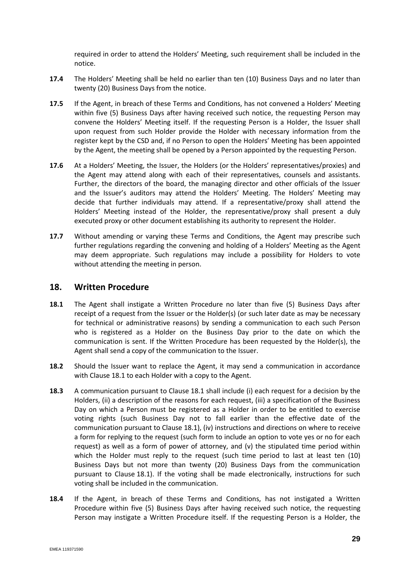required in order to attend the Holders' Meeting, such requirement shall be included in the notice.

- **17.4** The Holders' Meeting shall be held no earlier than ten (10) Business Days and no later than twenty (20) Business Days from the notice.
- **17.5** If the Agent, in breach of these Terms and Conditions, has not convened a Holders' Meeting within five (5) Business Days after having received such notice, the requesting Person may convene the Holders' Meeting itself. If the requesting Person is a Holder, the Issuer shall upon request from such Holder provide the Holder with necessary information from the register kept by the CSD and, if no Person to open the Holders' Meeting has been appointed by the Agent, the meeting shall be opened by a Person appointed by the requesting Person.
- **17.6** At a Holders' Meeting, the Issuer, the Holders (or the Holders' representatives/proxies) and the Agent may attend along with each of their representatives, counsels and assistants. Further, the directors of the board, the managing director and other officials of the Issuer and the Issuer's auditors may attend the Holders' Meeting. The Holders' Meeting may decide that further individuals may attend. If a representative/proxy shall attend the Holders' Meeting instead of the Holder, the representative/proxy shall present a duly executed proxy or other document establishing its authority to represent the Holder.
- **17.7** Without amending or varying these Terms and Conditions, the Agent may prescribe such further regulations regarding the convening and holding of a Holders' Meeting as the Agent may deem appropriate. Such regulations may include a possibility for Holders to vote without attending the meeting in person.

## <span id="page-30-0"></span>**18. Written Procedure**

- <span id="page-30-2"></span>**18.1** The Agent shall instigate a Written Procedure no later than five (5) Business Days after receipt of a request from the Issuer or the Holder(s) (or such later date as may be necessary for technical or administrative reasons) by sending a communication to each such Person who is registered as a Holder on the Business Day prior to the date on which the communication is sent. If the Written Procedure has been requested by the Holder(s), the Agent shall send a copy of the communication to the Issuer.
- **18.2** Should the Issuer want to replace the Agent, it may send a communication in accordance with Clause [18.1](#page-30-2) to each Holder with a copy to the Agent.
- <span id="page-30-1"></span>**18.3** A communication pursuant to Clause [18.1](#page-30-2) shall include (i) each request for a decision by the Holders, (ii) a description of the reasons for each request, (iii) a specification of the Business Day on which a Person must be registered as a Holder in order to be entitled to exercise voting rights (such Business Day not to fall earlier than the effective date of the communication pursuant to Clause [18.1\)](#page-30-2), (iv) instructions and directions on where to receive a form for replying to the request (such form to include an option to vote yes or no for each request) as well as a form of power of attorney, and (v) the stipulated time period within which the Holder must reply to the request (such time period to last at least ten (10) Business Days but not more than twenty (20) Business Days from the communication pursuant to Clause [18.1\)](#page-30-2). If the voting shall be made electronically, instructions for such voting shall be included in the communication.
- **18.4** If the Agent, in breach of these Terms and Conditions, has not instigated a Written Procedure within five (5) Business Days after having received such notice, the requesting Person may instigate a Written Procedure itself. If the requesting Person is a Holder, the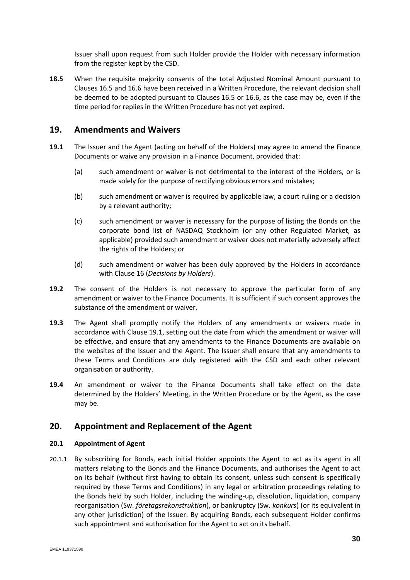Issuer shall upon request from such Holder provide the Holder with necessary information from the register kept by the CSD.

**18.5** When the requisite majority consents of the total Adjusted Nominal Amount pursuant to Clauses [16.5](#page-28-0) an[d 16.6](#page-28-1) have been received in a Written Procedure, the relevant decision shall be deemed to be adopted pursuant to Clauses [16.5](#page-28-0) or [16.6,](#page-28-1) as the case may be, even if the time period for replies in the Written Procedure has not yet expired.

## **19. Amendments and Waivers**

- <span id="page-31-3"></span><span id="page-31-1"></span><span id="page-31-0"></span>**19.1** The Issuer and the Agent (acting on behalf of the Holders) may agree to amend the Finance Documents or waive any provision in a Finance Document, provided that:
	- (a) such amendment or waiver is not detrimental to the interest of the Holders, or is made solely for the purpose of rectifying obvious errors and mistakes;
	- (b) such amendment or waiver is required by applicable law, a court ruling or a decision by a relevant authority;
	- (c) such amendment or waiver is necessary for the purpose of listing the Bonds on the corporate bond list of NASDAQ Stockholm (or any other Regulated Market, as applicable) provided such amendment or waiver does not materially adversely affect the rights of the Holders; or
	- (d) such amendment or waiver has been duly approved by the Holders in accordance with Clause [16](#page-27-0) (*Decisions by Holders*).
- <span id="page-31-2"></span>**19.2** The consent of the Holders is not necessary to approve the particular form of any amendment or waiver to the Finance Documents. It is sufficient if such consent approves the substance of the amendment or waiver.
- <span id="page-31-4"></span>**19.3** The Agent shall promptly notify the Holders of any amendments or waivers made in accordance with Clause [19.1,](#page-31-3) setting out the date from which the amendment or waiver will be effective, and ensure that any amendments to the Finance Documents are available on the websites of the Issuer and the Agent. The Issuer shall ensure that any amendments to these Terms and Conditions are duly registered with the CSD and each other relevant organisation or authority.
- **19.4** An amendment or waiver to the Finance Documents shall take effect on the date determined by the Holders' Meeting, in the Written Procedure or by the Agent, as the case may be.

## **20. Appointment and Replacement of the Agent**

#### **20.1 Appointment of Agent**

20.1.1 By subscribing for Bonds, each initial Holder appoints the Agent to act as its agent in all matters relating to the Bonds and the Finance Documents, and authorises the Agent to act on its behalf (without first having to obtain its consent, unless such consent is specifically required by these Terms and Conditions) in any legal or arbitration proceedings relating to the Bonds held by such Holder, including the winding-up, dissolution, liquidation, company reorganisation (Sw. *företagsrekonstruktion*), or bankruptcy (Sw. *konkurs*) (or its equivalent in any other jurisdiction) of the Issuer. By acquiring Bonds, each subsequent Holder confirms such appointment and authorisation for the Agent to act on its behalf.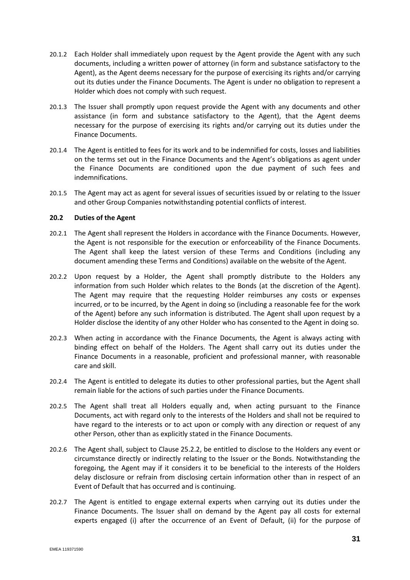- <span id="page-32-0"></span>20.1.2 Each Holder shall immediately upon request by the Agent provide the Agent with any such documents, including a written power of attorney (in form and substance satisfactory to the Agent), as the Agent deems necessary for the purpose of exercising its rights and/or carrying out its duties under the Finance Documents. The Agent is under no obligation to represent a Holder which does not comply with such request.
- 20.1.3 The Issuer shall promptly upon request provide the Agent with any documents and other assistance (in form and substance satisfactory to the Agent), that the Agent deems necessary for the purpose of exercising its rights and/or carrying out its duties under the Finance Documents.
- 20.1.4 The Agent is entitled to fees for its work and to be indemnified for costs, losses and liabilities on the terms set out in the Finance Documents and the Agent's obligations as agent under the Finance Documents are conditioned upon the due payment of such fees and indemnifications.
- 20.1.5 The Agent may act as agent for several issues of securities issued by or relating to the Issuer and other Group Companies notwithstanding potential conflicts of interest.

#### **20.2 Duties of the Agent**

- 20.2.1 The Agent shall represent the Holders in accordance with the Finance Documents. However, the Agent is not responsible for the execution or enforceability of the Finance Documents. The Agent shall keep the latest version of these Terms and Conditions (including any document amending these Terms and Conditions) available on the website of the Agent.
- 20.2.2 Upon request by a Holder, the Agent shall promptly distribute to the Holders any information from such Holder which relates to the Bonds (at the discretion of the Agent). The Agent may require that the requesting Holder reimburses any costs or expenses incurred, or to be incurred, by the Agent in doing so (including a reasonable fee for the work of the Agent) before any such information is distributed. The Agent shall upon request by a Holder disclose the identity of any other Holder who has consented to the Agent in doing so.
- 20.2.3 When acting in accordance with the Finance Documents, the Agent is always acting with binding effect on behalf of the Holders. The Agent shall carry out its duties under the Finance Documents in a reasonable, proficient and professional manner, with reasonable care and skill.
- 20.2.4 The Agent is entitled to delegate its duties to other professional parties, but the Agent shall remain liable for the actions of such parties under the Finance Documents.
- 20.2.5 The Agent shall treat all Holders equally and, when acting pursuant to the Finance Documents, act with regard only to the interests of the Holders and shall not be required to have regard to the interests or to act upon or comply with any direction or request of any other Person, other than as explicitly stated in the Finance Documents.
- 20.2.6 The Agent shall, subject to Clause [25.2.2,](#page-37-1) be entitled to disclose to the Holders any event or circumstance directly or indirectly relating to the Issuer or the Bonds. Notwithstanding the foregoing, the Agent may if it considers it to be beneficial to the interests of the Holders delay disclosure or refrain from disclosing certain information other than in respect of an Event of Default that has occurred and is continuing.
- 20.2.7 The Agent is entitled to engage external experts when carrying out its duties under the Finance Documents. The Issuer shall on demand by the Agent pay all costs for external experts engaged (i) after the occurrence of an Event of Default, (ii) for the purpose of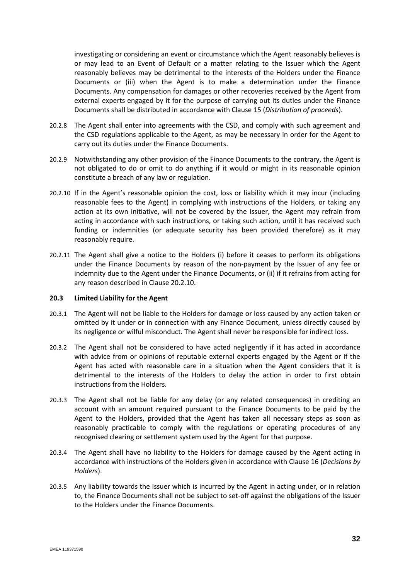investigating or considering an event or circumstance which the Agent reasonably believes is or may lead to an Event of Default or a matter relating to the Issuer which the Agent reasonably believes may be detrimental to the interests of the Holders under the Finance Documents or (iii) when the Agent is to make a determination under the Finance Documents. Any compensation for damages or other recoveries received by the Agent from external experts engaged by it for the purpose of carrying out its duties under the Finance Documents shall be distributed in accordance with Clause [15](#page-26-0) (*Distribution of proceeds*).

- 20.2.8 The Agent shall enter into agreements with the CSD, and comply with such agreement and the CSD regulations applicable to the Agent, as may be necessary in order for the Agent to carry out its duties under the Finance Documents.
- 20.2.9 Notwithstanding any other provision of the Finance Documents to the contrary, the Agent is not obligated to do or omit to do anything if it would or might in its reasonable opinion constitute a breach of any law or regulation.
- <span id="page-33-0"></span>20.2.10 If in the Agent's reasonable opinion the cost, loss or liability which it may incur (including reasonable fees to the Agent) in complying with instructions of the Holders, or taking any action at its own initiative, will not be covered by the Issuer, the Agent may refrain from acting in accordance with such instructions, or taking such action, until it has received such funding or indemnities (or adequate security has been provided therefore) as it may reasonably require.
- <span id="page-33-1"></span>20.2.11 The Agent shall give a notice to the Holders (i) before it ceases to perform its obligations under the Finance Documents by reason of the non-payment by the Issuer of any fee or indemnity due to the Agent under the Finance Documents, or (ii) if it refrains from acting for any reason described in Clause [20.2.10.](#page-33-0)

#### **20.3 Limited Liability for the Agent**

- 20.3.1 The Agent will not be liable to the Holders for damage or loss caused by any action taken or omitted by it under or in connection with any Finance Document, unless directly caused by its negligence or wilful misconduct. The Agent shall never be responsible for indirect loss.
- 20.3.2 The Agent shall not be considered to have acted negligently if it has acted in accordance with advice from or opinions of reputable external experts engaged by the Agent or if the Agent has acted with reasonable care in a situation when the Agent considers that it is detrimental to the interests of the Holders to delay the action in order to first obtain instructions from the Holders.
- 20.3.3 The Agent shall not be liable for any delay (or any related consequences) in crediting an account with an amount required pursuant to the Finance Documents to be paid by the Agent to the Holders, provided that the Agent has taken all necessary steps as soon as reasonably practicable to comply with the regulations or operating procedures of any recognised clearing or settlement system used by the Agent for that purpose.
- 20.3.4 The Agent shall have no liability to the Holders for damage caused by the Agent acting in accordance with instructions of the Holders given in accordance with Clause [16](#page-27-0) (*Decisions by Holders*).
- 20.3.5 Any liability towards the Issuer which is incurred by the Agent in acting under, or in relation to, the Finance Documents shall not be subject to set-off against the obligations of the Issuer to the Holders under the Finance Documents.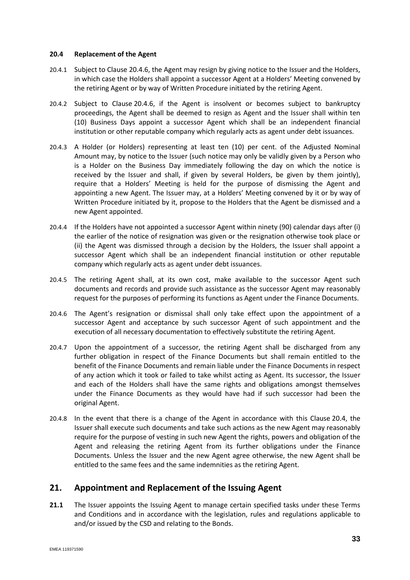#### <span id="page-34-2"></span>**20.4 Replacement of the Agent**

- <span id="page-34-3"></span>20.4.1 Subject to Clause [20.4.6,](#page-34-1) the Agent may resign by giving notice to the Issuer and the Holders, in which case the Holders shall appoint a successor Agent at a Holders' Meeting convened by the retiring Agent or by way of Written Procedure initiated by the retiring Agent.
- 20.4.2 Subject to Clause [20.4.6,](#page-34-1) if the Agent is insolvent or becomes subject to bankruptcy proceedings, the Agent shall be deemed to resign as Agent and the Issuer shall within ten (10) Business Days appoint a successor Agent which shall be an independent financial institution or other reputable company which regularly acts as agent under debt issuances.
- <span id="page-34-0"></span>20.4.3 A Holder (or Holders) representing at least ten (10) per cent. of the Adjusted Nominal Amount may, by notice to the Issuer (such notice may only be validly given by a Person who is a Holder on the Business Day immediately following the day on which the notice is received by the Issuer and shall, if given by several Holders, be given by them jointly), require that a Holders' Meeting is held for the purpose of dismissing the Agent and appointing a new Agent. The Issuer may, at a Holders' Meeting convened by it or by way of Written Procedure initiated by it, propose to the Holders that the Agent be dismissed and a new Agent appointed.
- 20.4.4 If the Holders have not appointed a successor Agent within ninety (90) calendar days after (i) the earlier of the notice of resignation was given or the resignation otherwise took place or (ii) the Agent was dismissed through a decision by the Holders, the Issuer shall appoint a successor Agent which shall be an independent financial institution or other reputable company which regularly acts as agent under debt issuances.
- 20.4.5 The retiring Agent shall, at its own cost, make available to the successor Agent such documents and records and provide such assistance as the successor Agent may reasonably request for the purposes of performing its functions as Agent under the Finance Documents.
- <span id="page-34-1"></span>20.4.6 The Agent's resignation or dismissal shall only take effect upon the appointment of a successor Agent and acceptance by such successor Agent of such appointment and the execution of all necessary documentation to effectively substitute the retiring Agent.
- 20.4.7 Upon the appointment of a successor, the retiring Agent shall be discharged from any further obligation in respect of the Finance Documents but shall remain entitled to the benefit of the Finance Documents and remain liable under the Finance Documents in respect of any action which it took or failed to take whilst acting as Agent. Its successor, the Issuer and each of the Holders shall have the same rights and obligations amongst themselves under the Finance Documents as they would have had if such successor had been the original Agent.
- 20.4.8 In the event that there is a change of the Agent in accordance with this Clause [20.4,](#page-34-2) the Issuer shall execute such documents and take such actions as the new Agent may reasonably require for the purpose of vesting in such new Agent the rights, powers and obligation of the Agent and releasing the retiring Agent from its further obligations under the Finance Documents. Unless the Issuer and the new Agent agree otherwise, the new Agent shall be entitled to the same fees and the same indemnities as the retiring Agent.

## **21. Appointment and Replacement of the Issuing Agent**

**21.1** The Issuer appoints the Issuing Agent to manage certain specified tasks under these Terms and Conditions and in accordance with the legislation, rules and regulations applicable to and/or issued by the CSD and relating to the Bonds.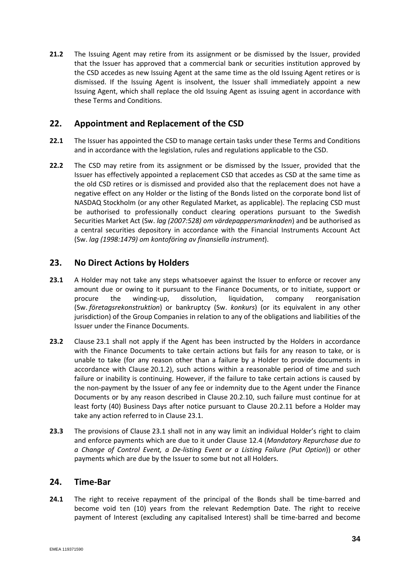**21.2** The Issuing Agent may retire from its assignment or be dismissed by the Issuer, provided that the Issuer has approved that a commercial bank or securities institution approved by the CSD accedes as new Issuing Agent at the same time as the old Issuing Agent retires or is dismissed. If the Issuing Agent is insolvent, the Issuer shall immediately appoint a new Issuing Agent, which shall replace the old Issuing Agent as issuing agent in accordance with these Terms and Conditions.

## **22. Appointment and Replacement of the CSD**

- **22.1** The Issuer has appointed the CSD to manage certain tasks under these Terms and Conditions and in accordance with the legislation, rules and regulations applicable to the CSD.
- **22.2** The CSD may retire from its assignment or be dismissed by the Issuer, provided that the Issuer has effectively appointed a replacement CSD that accedes as CSD at the same time as the old CSD retires or is dismissed and provided also that the replacement does not have a negative effect on any Holder or the listing of the Bonds listed on the corporate bond list of NASDAQ Stockholm (or any other Regulated Market, as applicable). The replacing CSD must be authorised to professionally conduct clearing operations pursuant to the Swedish Securities Market Act (Sw. *lag (2007:528) om värdepappersmarknaden*) and be authorised as a central securities depository in accordance with the Financial Instruments Account Act (Sw. *lag (1998:1479) om kontoföring av finansiella instrument*).

## **23. No Direct Actions by Holders**

- <span id="page-35-0"></span>**23.1** A Holder may not take any steps whatsoever against the Issuer to enforce or recover any amount due or owing to it pursuant to the Finance Documents, or to initiate, support or procure the winding-up, dissolution, liquidation, company reorganisation (Sw. *företagsrekonstruktion*) or bankruptcy (Sw. *konkurs*) (or its equivalent in any other jurisdiction) of the Group Companies in relation to any of the obligations and liabilities of the Issuer under the Finance Documents.
- **23.2** Clause [23.1](#page-35-0) shall not apply if the Agent has been instructed by the Holders in accordance with the Finance Documents to take certain actions but fails for any reason to take, or is unable to take (for any reason other than a failure by a Holder to provide documents in accordance with Clause [20.1.2\)](#page-32-0), such actions within a reasonable period of time and such failure or inability is continuing. However, if the failure to take certain actions is caused by the non-payment by the Issuer of any fee or indemnity due to the Agent under the Finance Documents or by any reason described in Clause [20.2.10,](#page-33-0) such failure must continue for at least forty (40) Business Days after notice pursuant to Clause [20.2.11](#page-33-1) before a Holder may take any action referred to in Clause [23.1.](#page-35-0)
- **23.3** The provisions of Clause [23.1](#page-35-0) shall not in any way limit an individual Holder's right to claim and enforce payments which are due to it under Clause [12.4](#page-19-6) (*Mandatory Repurchase due to a Change of Control Event, a De-listing Event or a Listing Failure (Put Option*)) or other payments which are due by the Issuer to some but not all Holders.

## **24. Time-Bar**

**24.1** The right to receive repayment of the principal of the Bonds shall be time-barred and become void ten (10) years from the relevant Redemption Date. The right to receive payment of Interest (excluding any capitalised Interest) shall be time-barred and become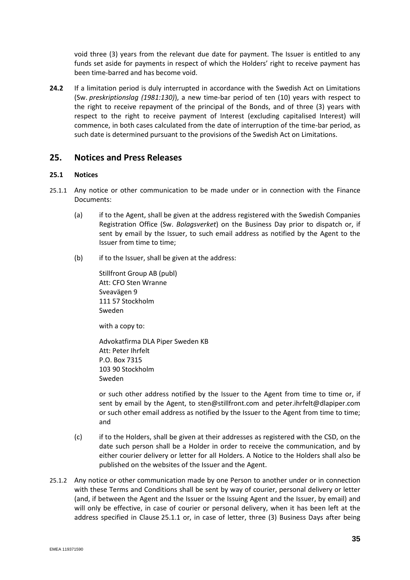void three (3) years from the relevant due date for payment. The Issuer is entitled to any funds set aside for payments in respect of which the Holders' right to receive payment has been time-barred and has become void.

**24.2** If a limitation period is duly interrupted in accordance with the Swedish Act on Limitations (Sw. *preskriptionslag (1981:130)*), a new time-bar period of ten (10) years with respect to the right to receive repayment of the principal of the Bonds, and of three (3) years with respect to the right to receive payment of Interest (excluding capitalised Interest) will commence, in both cases calculated from the date of interruption of the time-bar period, as such date is determined pursuant to the provisions of the Swedish Act on Limitations.

## **25. Notices and Press Releases**

#### **25.1 Notices**

- <span id="page-36-0"></span>25.1.1 Any notice or other communication to be made under or in connection with the Finance Documents:
	- (a) if to the Agent, shall be given at the address registered with the Swedish Companies Registration Office (Sw. *Bolagsverket*) on the Business Day prior to dispatch or, if sent by email by the Issuer, to such email address as notified by the Agent to the Issuer from time to time;
	- (b) if to the Issuer, shall be given at the address:

Stillfront Group AB (publ) Att: CFO Sten Wranne Sveavägen 9 111 57 Stockholm Sweden with a copy to:

Advokatfirma DLA Piper Sweden KB Att: Peter Ihrfelt P.O. Box 7315 103 90 Stockholm Sweden

or such other address notified by the Issuer to the Agent from time to time or, if sent by email by the Agent, to sten@stillfront.com and peter.ihrfelt@dlapiper.com or such other email address as notified by the Issuer to the Agent from time to time; and

- (c) if to the Holders, shall be given at their addresses as registered with the CSD, on the date such person shall be a Holder in order to receive the communication, and by either courier delivery or letter for all Holders. A Notice to the Holders shall also be published on the websites of the Issuer and the Agent.
- 25.1.2 Any notice or other communication made by one Person to another under or in connection with these Terms and Conditions shall be sent by way of courier, personal delivery or letter (and, if between the Agent and the Issuer or the Issuing Agent and the Issuer, by email) and will only be effective, in case of courier or personal delivery, when it has been left at the address specified in Clause [25.1.1](#page-36-0) or, in case of letter, three (3) Business Days after being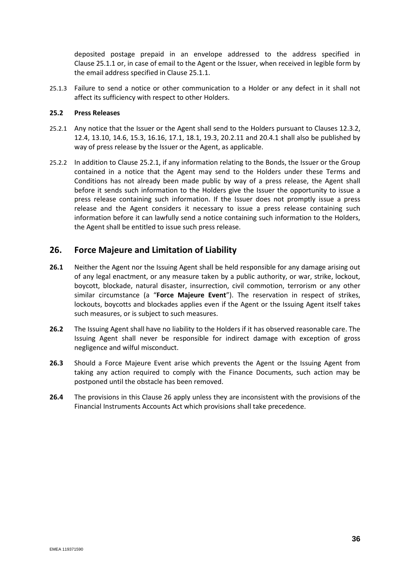deposited postage prepaid in an envelope addressed to the address specified in Clause [25.1.1](#page-36-0) or, in case of email to the Agent or the Issuer, when received in legible form by the email address specified in Claus[e 25.1.1.](#page-36-0)

25.1.3 Failure to send a notice or other communication to a Holder or any defect in it shall not affect its sufficiency with respect to other Holders.

#### **25.2 Press Releases**

- <span id="page-37-2"></span>25.2.1 Any notice that the Issuer or the Agent shall send to the Holders pursuant to Clauses [12.3.2,](#page-19-8) [12.4,](#page-19-6) [13.10,](#page-22-0) [14.6,](#page-26-1) [15.3,](#page-27-1) [16.16,](#page-29-2) [17.1,](#page-29-1) [18.1,](#page-30-2) [19.3,](#page-31-4) [20.2.11](#page-33-1) and [20.4.1](#page-34-3) shall also be published by way of press release by the Issuer or the Agent, as applicable.
- <span id="page-37-1"></span>25.2.2 In addition to Clause [25.2.1,](#page-37-2) if any information relating to the Bonds, the Issuer or the Group contained in a notice that the Agent may send to the Holders under these Terms and Conditions has not already been made public by way of a press release, the Agent shall before it sends such information to the Holders give the Issuer the opportunity to issue a press release containing such information. If the Issuer does not promptly issue a press release and the Agent considers it necessary to issue a press release containing such information before it can lawfully send a notice containing such information to the Holders, the Agent shall be entitled to issue such press release.

## <span id="page-37-3"></span>**26. Force Majeure and Limitation of Liability**

- <span id="page-37-0"></span>**26.1** Neither the Agent nor the Issuing Agent shall be held responsible for any damage arising out of any legal enactment, or any measure taken by a public authority, or war, strike, lockout, boycott, blockade, natural disaster, insurrection, civil commotion, terrorism or any other similar circumstance (a "**Force Majeure Event**"). The reservation in respect of strikes, lockouts, boycotts and blockades applies even if the Agent or the Issuing Agent itself takes such measures, or is subject to such measures.
- **26.2** The Issuing Agent shall have no liability to the Holders if it has observed reasonable care. The Issuing Agent shall never be responsible for indirect damage with exception of gross negligence and wilful misconduct.
- **26.3** Should a Force Majeure Event arise which prevents the Agent or the Issuing Agent from taking any action required to comply with the Finance Documents, such action may be postponed until the obstacle has been removed.
- **26.4** The provisions in this Clause [26](#page-37-3) apply unless they are inconsistent with the provisions of the Financial Instruments Accounts Act which provisions shall take precedence.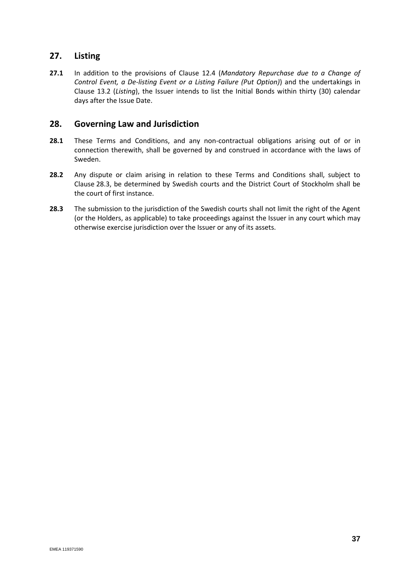## **27. Listing**

**27.1** In addition to the provisions of Clause 12.4 (*Mandatory Repurchase due to a Change of Control Event, a De-listing Event or a Listing Failure (Put Option)*) and the undertakings in Clause 13.2 (*Listing*), the Issuer intends to list the Initial Bonds within thirty (30) calendar days after the Issue Date.

## **28. Governing Law and Jurisdiction**

- **28.1** These Terms and Conditions, and any non-contractual obligations arising out of or in connection therewith, shall be governed by and construed in accordance with the laws of Sweden.
- **28.2** Any dispute or claim arising in relation to these Terms and Conditions shall, subject to Clause [28.3,](#page-38-0) be determined by Swedish courts and the District Court of Stockholm shall be the court of first instance.
- <span id="page-38-0"></span>**28.3** The submission to the jurisdiction of the Swedish courts shall not limit the right of the Agent (or the Holders, as applicable) to take proceedings against the Issuer in any court which may otherwise exercise jurisdiction over the Issuer or any of its assets.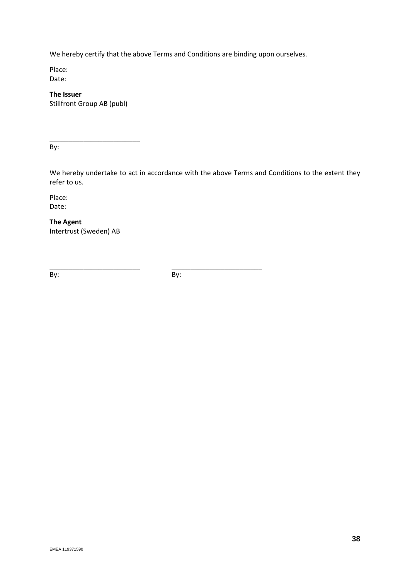We hereby certify that the above Terms and Conditions are binding upon ourselves.

Place: Date:

**The Issuer** Stillfront Group AB (publ)

\_\_\_\_\_\_\_\_\_\_\_\_\_\_\_\_\_\_\_\_\_\_\_\_

By:

We hereby undertake to act in accordance with the above Terms and Conditions to the extent they refer to us.

Place: Date:

**The Agent** Intertrust (Sweden) AB

By: By:

\_\_\_\_\_\_\_\_\_\_\_\_\_\_\_\_\_\_\_\_\_\_\_\_ \_\_\_\_\_\_\_\_\_\_\_\_\_\_\_\_\_\_\_\_\_\_\_\_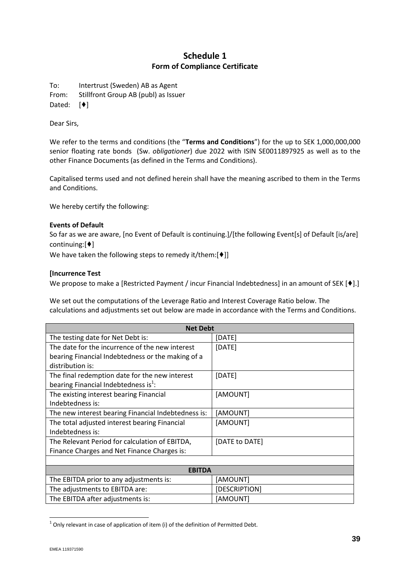## **Schedule 1 Form of Compliance Certificate**

To: Intertrust (Sweden) AB as Agent From: Stillfront Group AB (publ) as Issuer

Dated: [♦]

Dear Sirs,

We refer to the terms and conditions (the "**Terms and Conditions**") for the up to SEK 1,000,000,000 senior floating rate bonds (Sw. *obligationer*) due 2022 with ISIN SE0011897925 as well as to the other Finance Documents (as defined in the Terms and Conditions).

Capitalised terms used and not defined herein shall have the meaning ascribed to them in the Terms and Conditions.

We hereby certify the following:

#### **Events of Default**

So far as we are aware, [no Event of Default is continuing.]/[the following Event[s] of Default [is/are] continuing:[♦]

We have taken the following steps to remedy it/them:[ $\blacklozenge$ ]]

#### **[Incurrence Test**

We propose to make a [Restricted Payment / incur Financial Indebtedness] in an amount of SEK [♦].]

We set out the computations of the Leverage Ratio and Interest Coverage Ratio below. The calculations and adjustments set out below are made in accordance with the Terms and Conditions.

| <b>Net Debt</b>                                     |                |  |  |  |
|-----------------------------------------------------|----------------|--|--|--|
| The testing date for Net Debt is:                   | [DATE]         |  |  |  |
| The date for the incurrence of the new interest     | [DATE]         |  |  |  |
| bearing Financial Indebtedness or the making of a   |                |  |  |  |
| distribution is:                                    |                |  |  |  |
| The final redemption date for the new interest      | [DATE]         |  |  |  |
| bearing Financial Indebtedness is <sup>1</sup> :    |                |  |  |  |
| The existing interest bearing Financial             | [AMOUNT]       |  |  |  |
| Indebtedness is:                                    |                |  |  |  |
| The new interest bearing Financial Indebtedness is: | [AMOUNT]       |  |  |  |
| The total adjusted interest bearing Financial       | [AMOUNT]       |  |  |  |
| Indebtedness is:                                    |                |  |  |  |
| The Relevant Period for calculation of EBITDA,      | [DATE to DATE] |  |  |  |
| Finance Charges and Net Finance Charges is:         |                |  |  |  |
|                                                     |                |  |  |  |

| <b>EBITDA</b>                           |               |  |  |
|-----------------------------------------|---------------|--|--|
| The EBITDA prior to any adjustments is: | [AMOUNT]      |  |  |
| The adjustments to EBITDA are:          | [DESCRIPTION] |  |  |
| The EBITDA after adjustments is:        | [AMOUNT]      |  |  |

 $<sup>1</sup>$  Only relevant in case of application of item (i) of the definition of Permitted Debt.</sup>

 $\overline{a}$